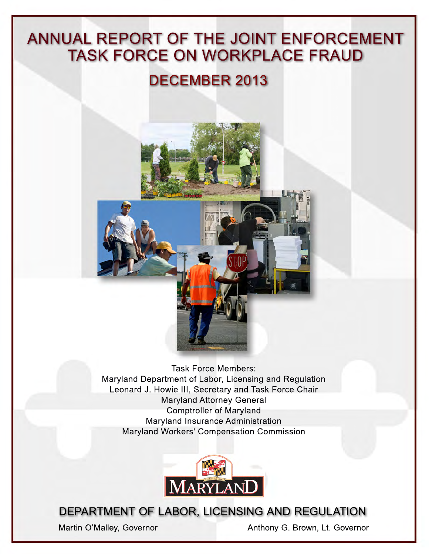# ANNUAL REPORT OF THE JOINT ENFORCEMENT TASK FORCE ON WORKPLACE FRAUD

# DECEMBER 2013



Task Force Members: Maryland Department of Labor, Licensing and Regulation Leonard J. Howie III, Secretary and Task Force Chair Maryland Attorney General Comptroller of Maryland Maryland Insurance Administration Maryland Workers' Compensation Commission



DEPARTMENT OF LABOR, LICENSING AND REGULATION

Martin O'Malley, Governor **Anthony G. Brown, Lt. Governor**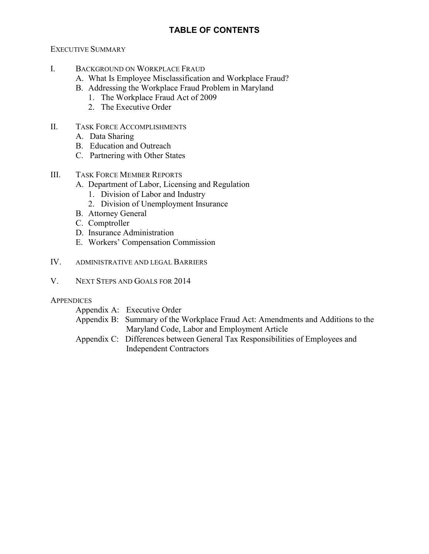# **TABLE OF CONTENTS**

#### EXECUTIVE SUMMARY

- I. BACKGROUND ON WORKPLACE FRAUD
	- A. What Is Employee Misclassification and Workplace Fraud?
	- B. Addressing the Workplace Fraud Problem in Maryland
		- 1. The Workplace Fraud Act of 2009
		- 2. The Executive Order
- II. TASK FORCE ACCOMPLISHMENTS
	- A. Data Sharing
	- B. Education and Outreach
	- C. Partnering with Other States
- III. TASK FORCE MEMBER REPORTS
	- A. Department of Labor, Licensing and Regulation
		- 1. Division of Labor and Industry
		- 2. Division of Unemployment Insurance
	- B. Attorney General
	- C. Comptroller
	- D. Insurance Administration
	- E. Workers' Compensation Commission
- IV. ADMINISTRATIVE AND LEGAL BARRIERS
- V. NEXT STEPS AND GOALS FOR 2014

#### **APPENDICES**

| Appendix A: Executive Order                                                     |
|---------------------------------------------------------------------------------|
| Appendix B: Summary of the Workplace Fraud Act: Amendments and Additions to the |
| Maryland Code, Labor and Employment Article                                     |
| Appendix C: Differences between General Tax Responsibilities of Employees and   |
| <b>Independent Contractors</b>                                                  |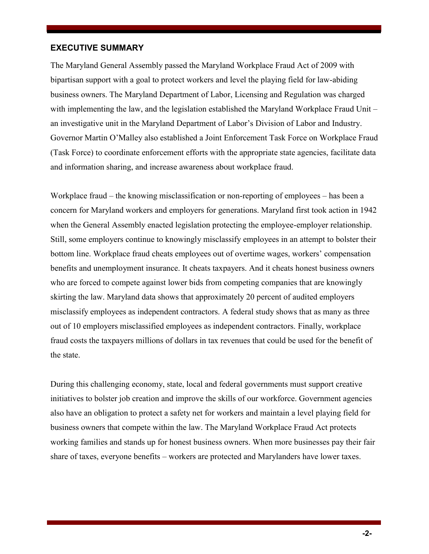#### **EXECUTIVE SUMMARY**

The Maryland General Assembly passed the Maryland Workplace Fraud Act of 2009 with bipartisan support with a goal to protect workers and level the playing field for law-abiding business owners. The Maryland Department of Labor, Licensing and Regulation was charged with implementing the law, and the legislation established the Maryland Workplace Fraud Unit – an investigative unit in the Maryland Department of Labor's Division of Labor and Industry. Governor Martin O'Malley also established a Joint Enforcement Task Force on Workplace Fraud (Task Force) to coordinate enforcement efforts with the appropriate state agencies, facilitate data and information sharing, and increase awareness about workplace fraud.

Workplace fraud – the knowing misclassification or non-reporting of employees – has been a concern for Maryland workers and employers for generations. Maryland first took action in 1942 when the General Assembly enacted legislation protecting the employee-employer relationship. Still, some employers continue to knowingly misclassify employees in an attempt to bolster their bottom line. Workplace fraud cheats employees out of overtime wages, workers' compensation benefits and unemployment insurance. It cheats taxpayers. And it cheats honest business owners who are forced to compete against lower bids from competing companies that are knowingly skirting the law. Maryland data shows that approximately 20 percent of audited employers misclassify employees as independent contractors. A federal study shows that as many as three out of 10 employers misclassified employees as independent contractors. Finally, workplace fraud costs the taxpayers millions of dollars in tax revenues that could be used for the benefit of the state.

During this challenging economy, state, local and federal governments must support creative initiatives to bolster job creation and improve the skills of our workforce. Government agencies also have an obligation to protect a safety net for workers and maintain a level playing field for business owners that compete within the law. The Maryland Workplace Fraud Act protects working families and stands up for honest business owners. When more businesses pay their fair share of taxes, everyone benefits – workers are protected and Marylanders have lower taxes.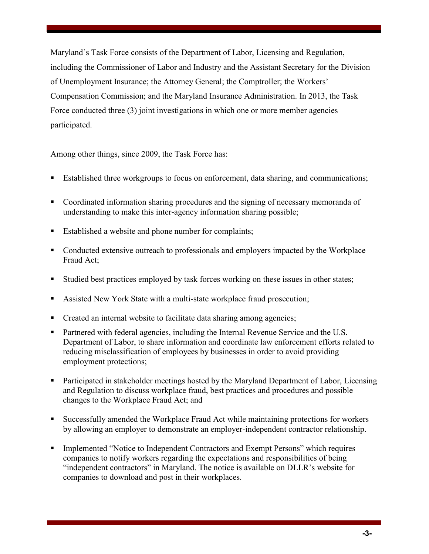Maryland's Task Force consists of the Department of Labor, Licensing and Regulation, including the Commissioner of Labor and Industry and the Assistant Secretary for the Division of Unemployment Insurance; the Attorney General; the Comptroller; the Workers' Compensation Commission; and the Maryland Insurance Administration. In 2013, the Task Force conducted three (3) joint investigations in which one or more member agencies participated.

Among other things, since 2009, the Task Force has:

- Established three workgroups to focus on enforcement, data sharing, and communications;
- Coordinated information sharing procedures and the signing of necessary memoranda of understanding to make this inter-agency information sharing possible;
- Established a website and phone number for complaints;
- Conducted extensive outreach to professionals and employers impacted by the Workplace Fraud Act;
- Studied best practices employed by task forces working on these issues in other states;
- Assisted New York State with a multi-state workplace fraud prosecution;
- Created an internal website to facilitate data sharing among agencies;
- Partnered with federal agencies, including the Internal Revenue Service and the U.S. Department of Labor, to share information and coordinate law enforcement efforts related to reducing misclassification of employees by businesses in order to avoid providing employment protections;
- Participated in stakeholder meetings hosted by the Maryland Department of Labor, Licensing and Regulation to discuss workplace fraud, best practices and procedures and possible changes to the Workplace Fraud Act; and
- Successfully amended the Workplace Fraud Act while maintaining protections for workers by allowing an employer to demonstrate an employer-independent contractor relationship.
- Implemented "Notice to Independent Contractors and Exempt Persons" which requires companies to notify workers regarding the expectations and responsibilities of being "independent contractors" in Maryland. The notice is available on DLLR's website for companies to download and post in their workplaces.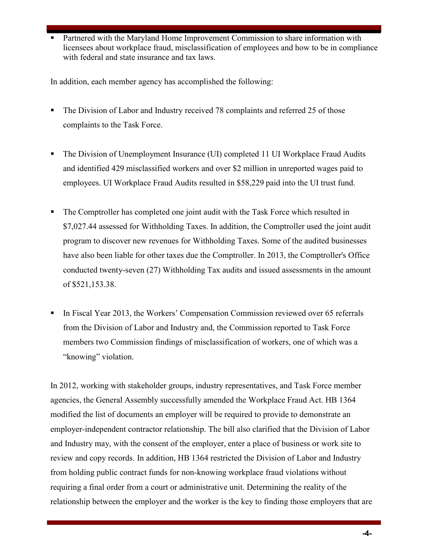**Partnered with the Maryland Home Improvement Commission to share information with** licensees about workplace fraud, misclassification of employees and how to be in compliance with federal and state insurance and tax laws.

In addition, each member agency has accomplished the following:

- The Division of Labor and Industry received 78 complaints and referred 25 of those complaints to the Task Force.
- The Division of Unemployment Insurance (UI) completed 11 UI Workplace Fraud Audits and identified 429 misclassified workers and over \$2 million in unreported wages paid to employees. UI Workplace Fraud Audits resulted in \$58,229 paid into the UI trust fund.
- The Comptroller has completed one joint audit with the Task Force which resulted in \$7,027.44 assessed for Withholding Taxes. In addition, the Comptroller used the joint audit program to discover new revenues for Withholding Taxes. Some of the audited businesses have also been liable for other taxes due the Comptroller. In 2013, the Comptroller's Office conducted twenty-seven (27) Withholding Tax audits and issued assessments in the amount of \$521,153.38.
- In Fiscal Year 2013, the Workers' Compensation Commission reviewed over 65 referrals from the Division of Labor and Industry and, the Commission reported to Task Force members two Commission findings of misclassification of workers, one of which was a "knowing" violation.

In 2012, working with stakeholder groups, industry representatives, and Task Force member agencies, the General Assembly successfully amended the Workplace Fraud Act. HB 1364 modified the list of documents an employer will be required to provide to demonstrate an employer-independent contractor relationship. The bill also clarified that the Division of Labor and Industry may, with the consent of the employer, enter a place of business or work site to review and copy records. In addition, HB 1364 restricted the Division of Labor and Industry from holding public contract funds for non-knowing workplace fraud violations without requiring a final order from a court or administrative unit. Determining the reality of the relationship between the employer and the worker is the key to finding those employers that are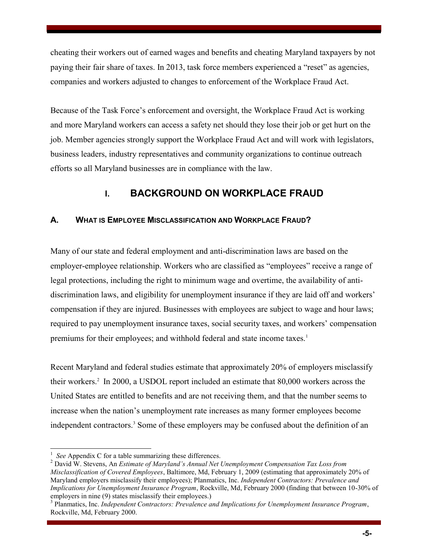cheating their workers out of earned wages and benefits and cheating Maryland taxpayers by not paying their fair share of taxes. In 2013, task force members experienced a "reset" as agencies, companies and workers adjusted to changes to enforcement of the Workplace Fraud Act.

Because of the Task Force's enforcement and oversight, the Workplace Fraud Act is working and more Maryland workers can access a safety net should they lose their job or get hurt on the job. Member agencies strongly support the Workplace Fraud Act and will work with legislators, business leaders, industry representatives and community organizations to continue outreach efforts so all Maryland businesses are in compliance with the law.

# **I. BACKGROUND ON WORKPLACE FRAUD**

# **A. WHAT IS EMPLOYEE MISCLASSIFICATION AND WORKPLACE FRAUD?**

Many of our state and federal employment and anti-discrimination laws are based on the employer-employee relationship. Workers who are classified as "employees" receive a range of legal protections, including the right to minimum wage and overtime, the availability of antidiscrimination laws, and eligibility for unemployment insurance if they are laid off and workers' compensation if they are injured. Businesses with employees are subject to wage and hour laws; required to pay unemployment insurance taxes, social security taxes, and workers' compensation premiums for their employees; and withhold federal and state income taxes.<sup>1</sup>

Recent Maryland and federal studies estimate that approximately 20% of employers misclassify their workers.<sup>2</sup> In 2000, a USDOL report included an estimate that 80,000 workers across the United States are entitled to benefits and are not receiving them, and that the number seems to increase when the nation's unemployment rate increases as many former employees become independent contractors.<sup>3</sup> Some of these employers may be confused about the definition of an

 $\overline{a}$ 1 *See* Appendix C for a table summarizing these differences.

<sup>&</sup>lt;sup>2</sup> David W. Stevens, An *Estimate of Maryland's Annual Net Unemployment Compensation Tax Loss from Misclassification of Covered Employees*, Baltimore, Md, February 1, 2009 (estimating that approximately 20% of Maryland employers misclassify their employees); Planmatics, Inc. *Independent Contractors: Prevalence and Implications for Unemployment Insurance Program*, Rockville, Md, February 2000 (finding that between 10-30% of employers in nine (9) states misclassify their employees.)

<sup>3</sup> Planmatics, Inc. *Independent Contractors: Prevalence and Implications for Unemployment Insurance Program*, Rockville, Md, February 2000.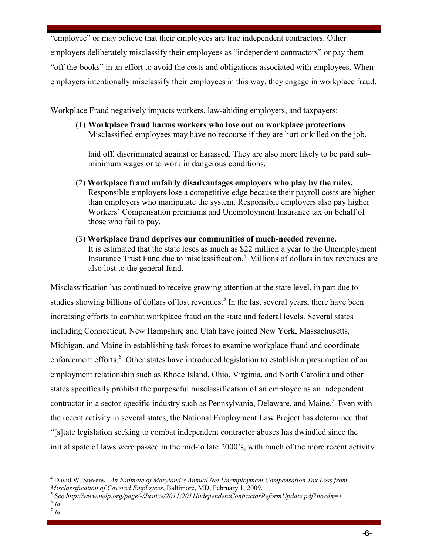"employee" or may believe that their employees are true independent contractors. Other employers deliberately misclassify their employees as "independent contractors" or pay them "off-the-books" in an effort to avoid the costs and obligations associated with employees. When employers intentionally misclassify their employees in this way, they engage in workplace fraud.

Workplace Fraud negatively impacts workers, law-abiding employers, and taxpayers:

(1) **Workplace fraud harms workers who lose out on workplace protections**. Misclassified employees may have no recourse if they are hurt or killed on the job,

laid off, discriminated against or harassed. They are also more likely to be paid subminimum wages or to work in dangerous conditions.

- (2) **Workplace fraud unfairly disadvantages employers who play by the rules.** Responsible employers lose a competitive edge because their payroll costs are higher than employers who manipulate the system. Responsible employers also pay higher Workers' Compensation premiums and Unemployment Insurance tax on behalf of those who fail to pay.
- (3) **Workplace fraud deprives our communities of much-needed revenue.** It is estimated that the state loses as much as \$22 million a year to the Unemployment Insurance Trust Fund due to misclassification.<sup>4</sup> Millions of dollars in tax revenues are also lost to the general fund.

Misclassification has continued to receive growing attention at the state level, in part due to studies showing billions of dollars of lost revenues.<sup>5</sup> In the last several years, there have been increasing efforts to combat workplace fraud on the state and federal levels. Several states including Connecticut, New Hampshire and Utah have joined New York, Massachusetts, Michigan, and Maine in establishing task forces to examine workplace fraud and coordinate enforcement efforts.<sup>6</sup> Other states have introduced legislation to establish a presumption of an employment relationship such as Rhode Island, Ohio, Virginia, and North Carolina and other states specifically prohibit the purposeful misclassification of an employee as an independent contractor in a sector-specific industry such as Pennsylvania, Delaware, and Maine.<sup>7</sup> Even with the recent activity in several states, the National Employment Law Project has determined that "[s]tate legislation seeking to combat independent contractor abuses has dwindled since the initial spate of laws were passed in the mid-to late 2000's, with much of the more recent activity

 $\overline{a}$ <sup>4</sup> David W. Stevens, *An Estimate of Maryland's Annual Net Unemployment Compensation Tax Loss from Misclassification of Covered Employees*, Baltimore, MD, February 1, 2009.

<sup>5</sup> *See http://www.nelp.org/page/-/Justice/2011/2011IndependentContractorReformUpdate.pdf?nocdn=1* 

<sup>6</sup> *Id.*

<sup>7</sup>  *Id.*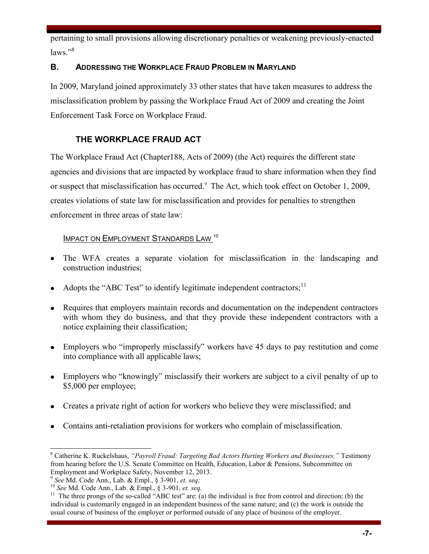pertaining to small provisions allowing discretionary penalties or weakening previously-enacted laws<sup>"8</sup>

# **B. ADDRESSING THE WORKPLACE FRAUD PROBLEM IN MARYLAND**

In 2009, Maryland joined approximately 33 other states that have taken measures to address the misclassification problem by passing the Workplace Fraud Act of 2009 and creating the Joint Enforcement Task Force on Workplace Fraud.

# **THE WORKPLACE FRAUD ACT**

The Workplace Fraud Act (Chapter188, Acts of 2009) (the Act) requires the different state agencies and divisions that are impacted by workplace fraud to share information when they find or suspect that misclassification has occurred.<sup>9</sup> The Act, which took effect on October 1, 2009, creates violations of state law for misclassification and provides for penalties to strengthen enforcement in three areas of state law:

# IMPACT ON EMPLOYMENT STANDARDS LAW<sup>10</sup>

- The WFA creates a separate violation for misclassification in the landscaping and construction industries;
- Adopts the "ABC Test" to identify legitimate independent contractors; $<sup>11</sup>$ </sup>
- Requires that employers maintain records and documentation on the independent contractors with whom they do business, and that they provide these independent contractors with a notice explaining their classification;
- Employers who "improperly misclassify" workers have 45 days to pay restitution and come into compliance with all applicable laws;
- Employers who "knowingly" misclassify their workers are subject to a civil penalty of up to \$5,000 per employee;
- Creates a private right of action for workers who believe they were misclassified; and
- Contains anti-retaliation provisions for workers who complain of misclassification.

 $\overline{a}$ 8 Catherine K. Ruckelshaus, *"Payroll Fraud: Targeting Bad Actors Hurting Workers and Businesses,"* Testimony from hearing before the U.S. Senate Committee on Health, Education, Labor & Pensions, Subcommittee on Employment and Workplace Safety, November 12, 2013.

<sup>9</sup> *See* Md. Code Ann., Lab. & Empl., § 3-901, *et. seq;* 

<sup>10</sup> *See* Md. Code Ann., Lab. & Empl., § 3-901, *et. seq.*

<sup>&</sup>lt;sup>11</sup> The three prongs of the so-called "ABC test" are: (a) the individual is free from control and direction; (b) the individual is customarily engaged in an independent business of the same nature; and (c) the work is outside the usual course of business of the employer or performed outside of any place of business of the employer.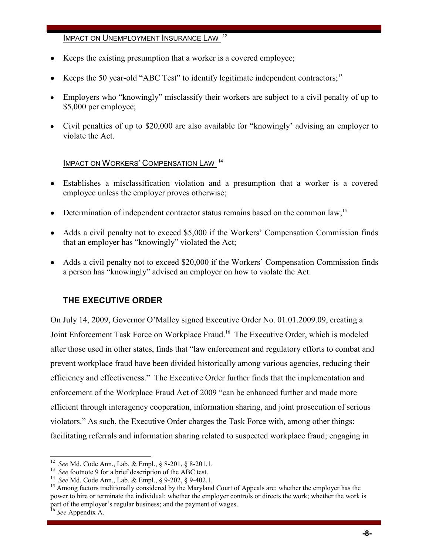#### IMPACT ON UNEMPLOYMENT INSURANCE LAW<sup>12</sup>

- Keeps the existing presumption that a worker is a covered employee;
- Keeps the 50 year-old "ABC Test" to identify legitimate independent contractors;<sup>13</sup>
- Employers who "knowingly" misclassify their workers are subject to a civil penalty of up to \$5,000 per employee;
- Civil penalties of up to \$20,000 are also available for "knowingly' advising an employer to violate the Act.

## IMPACT ON WORKERS' COMPENSATION LAW <sup>14</sup>

- Establishes a misclassification violation and a presumption that a worker is a covered employee unless the employer proves otherwise;
- Determination of independent contractor status remains based on the common law;<sup>15</sup>
- Adds a civil penalty not to exceed \$5,000 if the Workers' Compensation Commission finds that an employer has "knowingly" violated the Act;
- Adds a civil penalty not to exceed \$20,000 if the Workers' Compensation Commission finds a person has "knowingly" advised an employer on how to violate the Act.

# **THE EXECUTIVE ORDER**

On July 14, 2009, Governor O'Malley signed Executive Order No. 01.01.2009.09, creating a Joint Enforcement Task Force on Workplace Fraud.<sup>16</sup> The Executive Order, which is modeled after those used in other states, finds that "law enforcement and regulatory efforts to combat and prevent workplace fraud have been divided historically among various agencies, reducing their efficiency and effectiveness." The Executive Order further finds that the implementation and enforcement of the Workplace Fraud Act of 2009 "can be enhanced further and made more efficient through interagency cooperation, information sharing, and joint prosecution of serious violators." As such, the Executive Order charges the Task Force with, among other things: facilitating referrals and information sharing related to suspected workplace fraud; engaging in

 12 *See* Md. Code Ann., Lab. & Empl., § 8-201, § 8-201.1.

<sup>&</sup>lt;sup>13</sup> See footnote 9 for a brief description of the ABC test.

<sup>14</sup> *See* Md. Code Ann., Lab. & Empl., § 9-202, § 9-402.1.

<sup>&</sup>lt;sup>15</sup> Among factors traditionally considered by the Maryland Court of Appeals are: whether the employer has the power to hire or terminate the individual; whether the employer controls or directs the work; whether the work is part of the employer's regular business; and the payment of wages.

<sup>16</sup> *See* Appendix A.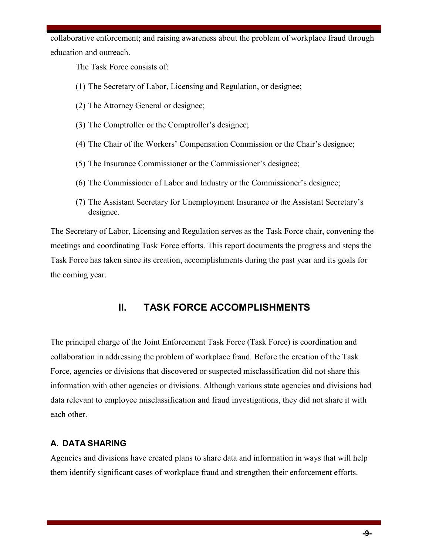collaborative enforcement; and raising awareness about the problem of workplace fraud through education and outreach.

The Task Force consists of:

- (1) The Secretary of Labor, Licensing and Regulation, or designee;
- (2) The Attorney General or designee;
- (3) The Comptroller or the Comptroller's designee;
- (4) The Chair of the Workers' Compensation Commission or the Chair's designee;
- (5) The Insurance Commissioner or the Commissioner's designee;
- (6) The Commissioner of Labor and Industry or the Commissioner's designee;
- (7) The Assistant Secretary for Unemployment Insurance or the Assistant Secretary's designee.

The Secretary of Labor, Licensing and Regulation serves as the Task Force chair, convening the meetings and coordinating Task Force efforts. This report documents the progress and steps the Task Force has taken since its creation, accomplishments during the past year and its goals for the coming year.

# **II. TASK FORCE ACCOMPLISHMENTS**

The principal charge of the Joint Enforcement Task Force (Task Force) is coordination and collaboration in addressing the problem of workplace fraud. Before the creation of the Task Force, agencies or divisions that discovered or suspected misclassification did not share this information with other agencies or divisions. Although various state agencies and divisions had data relevant to employee misclassification and fraud investigations, they did not share it with each other.

# **A. DATA SHARING**

Agencies and divisions have created plans to share data and information in ways that will help them identify significant cases of workplace fraud and strengthen their enforcement efforts.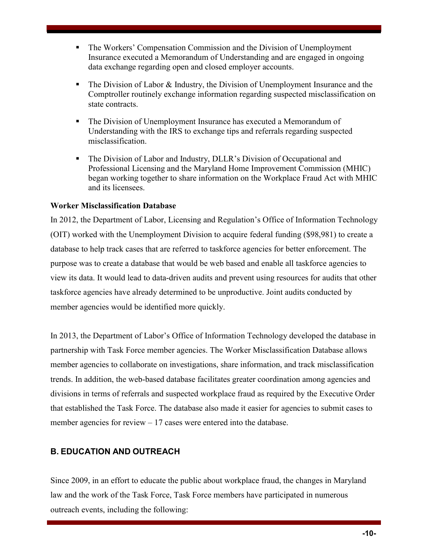- The Workers' Compensation Commission and the Division of Unemployment Insurance executed a Memorandum of Understanding and are engaged in ongoing data exchange regarding open and closed employer accounts.
- $\blacksquare$  The Division of Labor & Industry, the Division of Unemployment Insurance and the Comptroller routinely exchange information regarding suspected misclassification on state contracts.
- The Division of Unemployment Insurance has executed a Memorandum of Understanding with the IRS to exchange tips and referrals regarding suspected misclassification.
- The Division of Labor and Industry, DLLR's Division of Occupational and Professional Licensing and the Maryland Home Improvement Commission (MHIC) began working together to share information on the Workplace Fraud Act with MHIC and its licensees.

#### **Worker Misclassification Database**

In 2012, the Department of Labor, Licensing and Regulation's Office of Information Technology (OIT) worked with the Unemployment Division to acquire federal funding (\$98,981) to create a database to help track cases that are referred to taskforce agencies for better enforcement. The purpose was to create a database that would be web based and enable all taskforce agencies to view its data. It would lead to data-driven audits and prevent using resources for audits that other taskforce agencies have already determined to be unproductive. Joint audits conducted by member agencies would be identified more quickly.

In 2013, the Department of Labor's Office of Information Technology developed the database in partnership with Task Force member agencies. The Worker Misclassification Database allows member agencies to collaborate on investigations, share information, and track misclassification trends. In addition, the web-based database facilitates greater coordination among agencies and divisions in terms of referrals and suspected workplace fraud as required by the Executive Order that established the Task Force. The database also made it easier for agencies to submit cases to member agencies for review – 17 cases were entered into the database.

# **B. EDUCATION AND OUTREACH**

Since 2009, in an effort to educate the public about workplace fraud, the changes in Maryland law and the work of the Task Force, Task Force members have participated in numerous outreach events, including the following: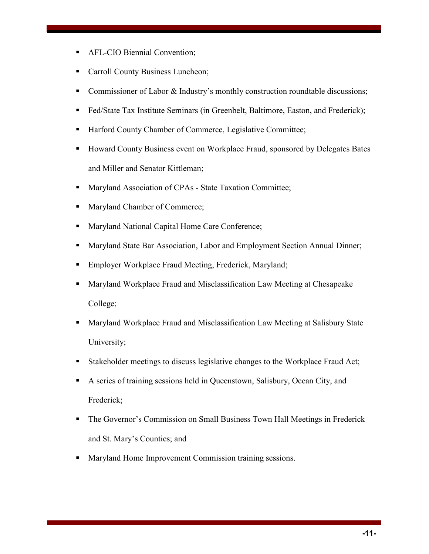- **AFL-CIO Biennial Convention;**
- **Carroll County Business Luncheon;**
- Commissioner of Labor & Industry's monthly construction roundtable discussions;
- Fed/State Tax Institute Seminars (in Greenbelt, Baltimore, Easton, and Frederick);
- Harford County Chamber of Commerce, Legislative Committee;
- Howard County Business event on Workplace Fraud, sponsored by Delegates Bates and Miller and Senator Kittleman;
- **Maryland Association of CPAs State Taxation Committee;**
- Maryland Chamber of Commerce;
- **Maryland National Capital Home Care Conference;**
- **Maryland State Bar Association, Labor and Employment Section Annual Dinner;**
- **Employer Workplace Fraud Meeting, Frederick, Maryland;**
- **Maryland Workplace Fraud and Misclassification Law Meeting at Chesapeake** College;
- **Maryland Workplace Fraud and Misclassification Law Meeting at Salisbury State** University;
- Stakeholder meetings to discuss legislative changes to the Workplace Fraud Act;
- A series of training sessions held in Queenstown, Salisbury, Ocean City, and Frederick;
- The Governor's Commission on Small Business Town Hall Meetings in Frederick and St. Mary's Counties; and
- **Maryland Home Improvement Commission training sessions.**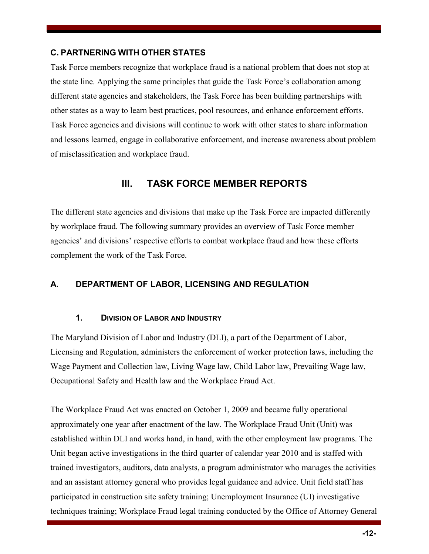## **C. PARTNERING WITH OTHER STATES**

Task Force members recognize that workplace fraud is a national problem that does not stop at the state line. Applying the same principles that guide the Task Force's collaboration among different state agencies and stakeholders, the Task Force has been building partnerships with other states as a way to learn best practices, pool resources, and enhance enforcement efforts. Task Force agencies and divisions will continue to work with other states to share information and lessons learned, engage in collaborative enforcement, and increase awareness about problem of misclassification and workplace fraud.

# **III. TASK FORCE MEMBER REPORTS**

The different state agencies and divisions that make up the Task Force are impacted differently by workplace fraud. The following summary provides an overview of Task Force member agencies' and divisions' respective efforts to combat workplace fraud and how these efforts complement the work of the Task Force.

# **A. DEPARTMENT OF LABOR, LICENSING AND REGULATION**

#### **1. DIVISION OF LABOR AND INDUSTRY**

The Maryland Division of Labor and Industry (DLI), a part of the Department of Labor, Licensing and Regulation, administers the enforcement of worker protection laws, including the Wage Payment and Collection law, Living Wage law, Child Labor law, Prevailing Wage law, Occupational Safety and Health law and the Workplace Fraud Act.

The Workplace Fraud Act was enacted on October 1, 2009 and became fully operational approximately one year after enactment of the law. The Workplace Fraud Unit (Unit) was established within DLI and works hand, in hand, with the other employment law programs. The Unit began active investigations in the third quarter of calendar year 2010 and is staffed with trained investigators, auditors, data analysts, a program administrator who manages the activities and an assistant attorney general who provides legal guidance and advice. Unit field staff has participated in construction site safety training; Unemployment Insurance (UI) investigative techniques training; Workplace Fraud legal training conducted by the Office of Attorney General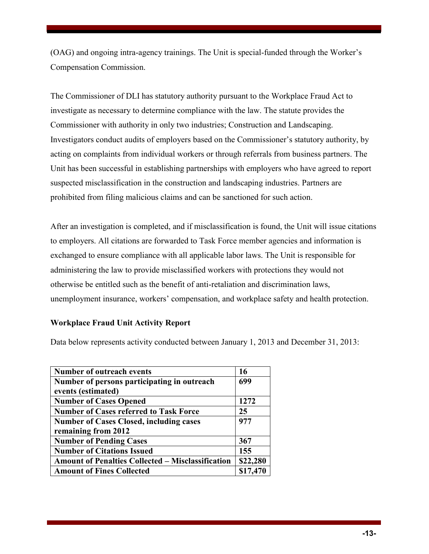(OAG) and ongoing intra-agency trainings. The Unit is special-funded through the Worker's Compensation Commission.

The Commissioner of DLI has statutory authority pursuant to the Workplace Fraud Act to investigate as necessary to determine compliance with the law. The statute provides the Commissioner with authority in only two industries; Construction and Landscaping. Investigators conduct audits of employers based on the Commissioner's statutory authority, by acting on complaints from individual workers or through referrals from business partners. The Unit has been successful in establishing partnerships with employers who have agreed to report suspected misclassification in the construction and landscaping industries. Partners are prohibited from filing malicious claims and can be sanctioned for such action.

After an investigation is completed, and if misclassification is found, the Unit will issue citations to employers. All citations are forwarded to Task Force member agencies and information is exchanged to ensure compliance with all applicable labor laws. The Unit is responsible for administering the law to provide misclassified workers with protections they would not otherwise be entitled such as the benefit of anti-retaliation and discrimination laws, unemployment insurance, workers' compensation, and workplace safety and health protection.

#### **Workplace Fraud Unit Activity Report**

Data below represents activity conducted between January 1, 2013 and December 31, 2013:

| Number of outreach events                                | 16       |
|----------------------------------------------------------|----------|
| Number of persons participating in outreach              | 699      |
| events (estimated)                                       |          |
| <b>Number of Cases Opened</b>                            | 1272     |
| <b>Number of Cases referred to Task Force</b>            | 25       |
| <b>Number of Cases Closed, including cases</b>           | 977      |
| remaining from 2012                                      |          |
| <b>Number of Pending Cases</b>                           | 367      |
| <b>Number of Citations Issued</b>                        | 155      |
| <b>Amount of Penalties Collected – Misclassification</b> | \$22,280 |
| <b>Amount of Fines Collected</b>                         | \$17,470 |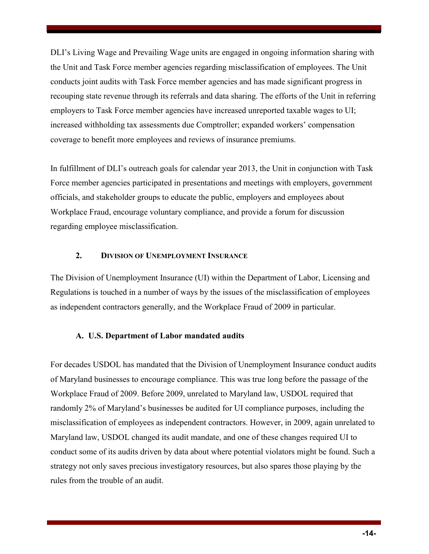DLI's Living Wage and Prevailing Wage units are engaged in ongoing information sharing with the Unit and Task Force member agencies regarding misclassification of employees. The Unit conducts joint audits with Task Force member agencies and has made significant progress in recouping state revenue through its referrals and data sharing. The efforts of the Unit in referring employers to Task Force member agencies have increased unreported taxable wages to UI; increased withholding tax assessments due Comptroller; expanded workers' compensation coverage to benefit more employees and reviews of insurance premiums.

In fulfillment of DLI's outreach goals for calendar year 2013, the Unit in conjunction with Task Force member agencies participated in presentations and meetings with employers, government officials, and stakeholder groups to educate the public, employers and employees about Workplace Fraud, encourage voluntary compliance, and provide a forum for discussion regarding employee misclassification.

#### **2. DIVISION OF UNEMPLOYMENT INSURANCE**

The Division of Unemployment Insurance (UI) within the Department of Labor, Licensing and Regulations is touched in a number of ways by the issues of the misclassification of employees as independent contractors generally, and the Workplace Fraud of 2009 in particular.

#### **A. U.S. Department of Labor mandated audits**

For decades USDOL has mandated that the Division of Unemployment Insurance conduct audits of Maryland businesses to encourage compliance. This was true long before the passage of the Workplace Fraud of 2009. Before 2009, unrelated to Maryland law, USDOL required that randomly 2% of Maryland's businesses be audited for UI compliance purposes, including the misclassification of employees as independent contractors. However, in 2009, again unrelated to Maryland law, USDOL changed its audit mandate, and one of these changes required UI to conduct some of its audits driven by data about where potential violators might be found. Such a strategy not only saves precious investigatory resources, but also spares those playing by the rules from the trouble of an audit.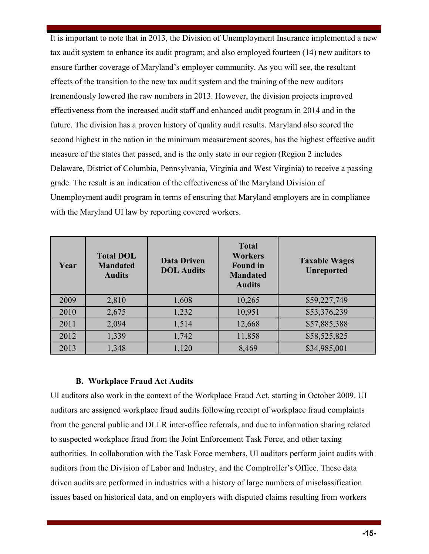It is important to note that in 2013, the Division of Unemployment Insurance implemented a new tax audit system to enhance its audit program; and also employed fourteen (14) new auditors to ensure further coverage of Maryland's employer community. As you will see, the resultant effects of the transition to the new tax audit system and the training of the new auditors tremendously lowered the raw numbers in 2013. However, the division projects improved effectiveness from the increased audit staff and enhanced audit program in 2014 and in the future. The division has a proven history of quality audit results. Maryland also scored the second highest in the nation in the minimum measurement scores, has the highest effective audit measure of the states that passed, and is the only state in our region (Region 2 includes Delaware, District of Columbia, Pennsylvania, Virginia and West Virginia) to receive a passing grade. The result is an indication of the effectiveness of the Maryland Division of Unemployment audit program in terms of ensuring that Maryland employers are in compliance with the Maryland UI law by reporting covered workers.

| Year | <b>Total DOL</b><br><b>Mandated</b><br><b>Audits</b> | <b>Data Driven</b><br><b>DOL Audits</b> | <b>Total</b><br><b>Workers</b><br><b>Found in</b><br><b>Mandated</b><br><b>Audits</b> | <b>Taxable Wages</b><br><b>Unreported</b> |
|------|------------------------------------------------------|-----------------------------------------|---------------------------------------------------------------------------------------|-------------------------------------------|
| 2009 | 2,810                                                | 1,608                                   | 10,265                                                                                | \$59,227,749                              |
| 2010 | 2,675                                                | 1,232                                   | 10,951                                                                                | \$53,376,239                              |
| 2011 | 2,094                                                | 1,514                                   | 12,668                                                                                | \$57,885,388                              |
| 2012 | 1,339                                                | 1,742                                   | 11,858                                                                                | \$58,525,825                              |
| 2013 | 1,348                                                | 1,120                                   | 8,469                                                                                 | \$34,985,001                              |

#### **B. Workplace Fraud Act Audits**

UI auditors also work in the context of the Workplace Fraud Act, starting in October 2009. UI auditors are assigned workplace fraud audits following receipt of workplace fraud complaints from the general public and DLLR inter-office referrals, and due to information sharing related to suspected workplace fraud from the Joint Enforcement Task Force, and other taxing authorities. In collaboration with the Task Force members, UI auditors perform joint audits with auditors from the Division of Labor and Industry, and the Comptroller's Office. These data driven audits are performed in industries with a history of large numbers of misclassification issues based on historical data, and on employers with disputed claims resulting from workers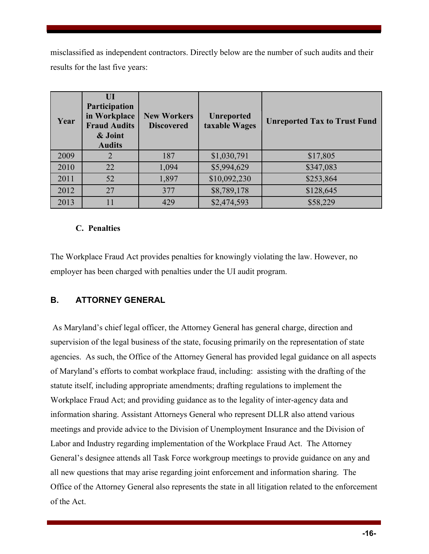misclassified as independent contractors. Directly below are the number of such audits and their results for the last five years:

| Year | UI<br>Participation<br>in Workplace<br><b>Fraud Audits</b><br>& Joint<br><b>Audits</b> | <b>New Workers</b><br><b>Discovered</b> | <b>Unreported</b><br>taxable Wages | <b>Unreported Tax to Trust Fund</b> |
|------|----------------------------------------------------------------------------------------|-----------------------------------------|------------------------------------|-------------------------------------|
| 2009 | 2                                                                                      | 187                                     | \$1,030,791                        | \$17,805                            |
| 2010 | 22                                                                                     | 1,094                                   | \$5,994,629                        | \$347,083                           |
| 2011 | 52                                                                                     | 1,897                                   | \$10,092,230                       | \$253,864                           |
| 2012 | 27                                                                                     | 377                                     | \$8,789,178                        | \$128,645                           |
| 2013 | 11                                                                                     | 429                                     | \$2,474,593                        | \$58,229                            |

#### **C. Penalties**

The Workplace Fraud Act provides penalties for knowingly violating the law. However, no employer has been charged with penalties under the UI audit program.

# **B. ATTORNEY GENERAL**

As Maryland's chief legal officer, the Attorney General has general charge, direction and supervision of the legal business of the state, focusing primarily on the representation of state agencies. As such, the Office of the Attorney General has provided legal guidance on all aspects of Maryland's efforts to combat workplace fraud, including: assisting with the drafting of the statute itself, including appropriate amendments; drafting regulations to implement the Workplace Fraud Act; and providing guidance as to the legality of inter-agency data and information sharing. Assistant Attorneys General who represent DLLR also attend various meetings and provide advice to the Division of Unemployment Insurance and the Division of Labor and Industry regarding implementation of the Workplace Fraud Act. The Attorney General's designee attends all Task Force workgroup meetings to provide guidance on any and all new questions that may arise regarding joint enforcement and information sharing. The Office of the Attorney General also represents the state in all litigation related to the enforcement of the Act.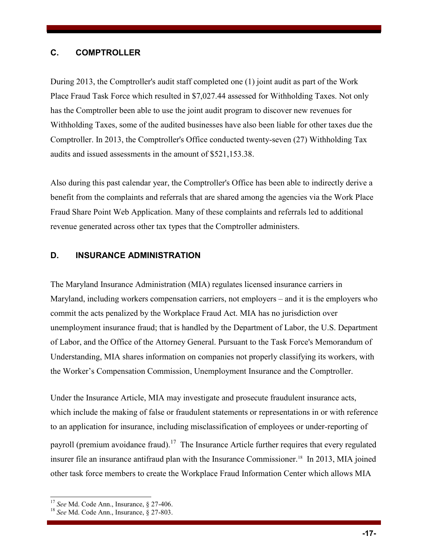#### **C. COMPTROLLER**

During 2013, the Comptroller's audit staff completed one (1) joint audit as part of the Work Place Fraud Task Force which resulted in \$7,027.44 assessed for Withholding Taxes. Not only has the Comptroller been able to use the joint audit program to discover new revenues for Withholding Taxes, some of the audited businesses have also been liable for other taxes due the Comptroller. In 2013, the Comptroller's Office conducted twenty-seven (27) Withholding Tax audits and issued assessments in the amount of \$521,153.38.

Also during this past calendar year, the Comptroller's Office has been able to indirectly derive a benefit from the complaints and referrals that are shared among the agencies via the Work Place Fraud Share Point Web Application. Many of these complaints and referrals led to additional revenue generated across other tax types that the Comptroller administers.

## **D. INSURANCE ADMINISTRATION**

The Maryland Insurance Administration (MIA) regulates licensed insurance carriers in Maryland, including workers compensation carriers, not employers – and it is the employers who commit the acts penalized by the Workplace Fraud Act. MIA has no jurisdiction over unemployment insurance fraud; that is handled by the Department of Labor, the U.S. Department of Labor, and the Office of the Attorney General. Pursuant to the Task Force's Memorandum of Understanding, MIA shares information on companies not properly classifying its workers, with the Worker's Compensation Commission, Unemployment Insurance and the Comptroller.

Under the Insurance Article, MIA may investigate and prosecute fraudulent insurance acts, which include the making of false or fraudulent statements or representations in or with reference to an application for insurance, including misclassification of employees or under-reporting of payroll (premium avoidance fraud).<sup>17</sup> The Insurance Article further requires that every regulated insurer file an insurance antifraud plan with the Insurance Commissioner.<sup>18</sup> In 2013, MIA joined other task force members to create the Workplace Fraud Information Center which allows MIA

 $\overline{a}$ 

<sup>17</sup> *See* Md. Code Ann., Insurance, § 27-406.

<sup>18</sup> *See* Md. Code Ann., Insurance, § 27-803.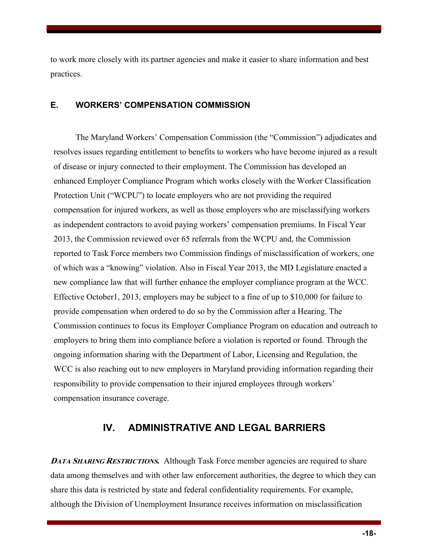to work more closely with its partner agencies and make it easier to share information and best practices.

### **E. WORKERS' COMPENSATION COMMISSION**

The Maryland Workers' Compensation Commission (the "Commission") adjudicates and resolves issues regarding entitlement to benefits to workers who have become injured as a result of disease or injury connected to their employment. The Commission has developed an enhanced Employer Compliance Program which works closely with the Worker Classification Protection Unit ("WCPU") to locate employers who are not providing the required compensation for injured workers, as well as those employers who are misclassifying workers as independent contractors to avoid paying workers' compensation premiums. In Fiscal Year 2013, the Commission reviewed over 65 referrals from the WCPU and, the Commission reported to Task Force members two Commission findings of misclassification of workers, one of which was a "knowing" violation. Also in Fiscal Year 2013, the MD Legislature enacted a new compliance law that will further enhance the employer compliance program at the WCC. Effective October1, 2013, employers may be subject to a fine of up to \$10,000 for failure to provide compensation when ordered to do so by the Commission after a Hearing. The Commission continues to focus its Employer Compliance Program on education and outreach to employers to bring them into compliance before a violation is reported or found. Through the ongoing information sharing with the Department of Labor, Licensing and Regulation, the WCC is also reaching out to new employers in Maryland providing information regarding their responsibility to provide compensation to their injured employees through workers' compensation insurance coverage.

# **IV. ADMINISTRATIVE AND LEGAL BARRIERS**

**DATA SHARING RESTRICTIONS.** Although Task Force member agencies are required to share data among themselves and with other law enforcement authorities, the degree to which they can share this data is restricted by state and federal confidentiality requirements. For example, although the Division of Unemployment Insurance receives information on misclassification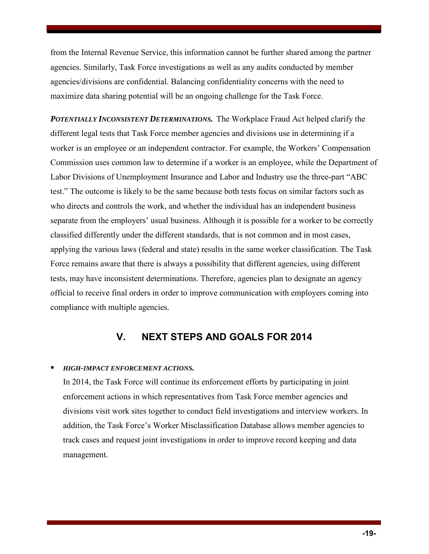from the Internal Revenue Service, this information cannot be further shared among the partner agencies. Similarly, Task Force investigations as well as any audits conducted by member agencies/divisions are confidential. Balancing confidentiality concerns with the need to maximize data sharing potential will be an ongoing challenge for the Task Force.

*POTENTIALLY INCONSISTENT DETERMINATIONS.* The Workplace Fraud Act helped clarify the different legal tests that Task Force member agencies and divisions use in determining if a worker is an employee or an independent contractor. For example, the Workers' Compensation Commission uses common law to determine if a worker is an employee, while the Department of Labor Divisions of Unemployment Insurance and Labor and Industry use the three-part "ABC test." The outcome is likely to be the same because both tests focus on similar factors such as who directs and controls the work, and whether the individual has an independent business separate from the employers' usual business. Although it is possible for a worker to be correctly classified differently under the different standards, that is not common and in most cases, applying the various laws (federal and state) results in the same worker classification. The Task Force remains aware that there is always a possibility that different agencies, using different tests, may have inconsistent determinations. Therefore, agencies plan to designate an agency official to receive final orders in order to improve communication with employers coming into compliance with multiple agencies.

# **V. NEXT STEPS AND GOALS FOR 2014**

#### *HIGH-IMPACT ENFORCEMENT ACTIONS.*

In 2014, the Task Force will continue its enforcement efforts by participating in joint enforcement actions in which representatives from Task Force member agencies and divisions visit work sites together to conduct field investigations and interview workers. In addition, the Task Force's Worker Misclassification Database allows member agencies to track cases and request joint investigations in order to improve record keeping and data management.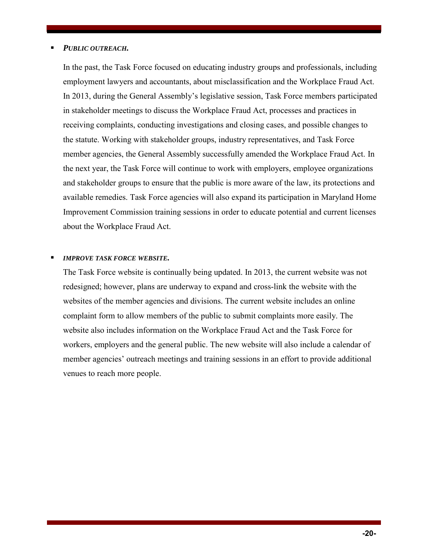#### *PUBLIC OUTREACH.*

In the past, the Task Force focused on educating industry groups and professionals, including employment lawyers and accountants, about misclassification and the Workplace Fraud Act. In 2013, during the General Assembly's legislative session, Task Force members participated in stakeholder meetings to discuss the Workplace Fraud Act, processes and practices in receiving complaints, conducting investigations and closing cases, and possible changes to the statute. Working with stakeholder groups, industry representatives, and Task Force member agencies, the General Assembly successfully amended the Workplace Fraud Act. In the next year, the Task Force will continue to work with employers, employee organizations and stakeholder groups to ensure that the public is more aware of the law, its protections and available remedies. Task Force agencies will also expand its participation in Maryland Home Improvement Commission training sessions in order to educate potential and current licenses about the Workplace Fraud Act.

#### *IMPROVE TASK FORCE WEBSITE.*

The Task Force website is continually being updated. In 2013, the current website was not redesigned; however, plans are underway to expand and cross-link the website with the websites of the member agencies and divisions. The current website includes an online complaint form to allow members of the public to submit complaints more easily. The website also includes information on the Workplace Fraud Act and the Task Force for workers, employers and the general public. The new website will also include a calendar of member agencies' outreach meetings and training sessions in an effort to provide additional venues to reach more people.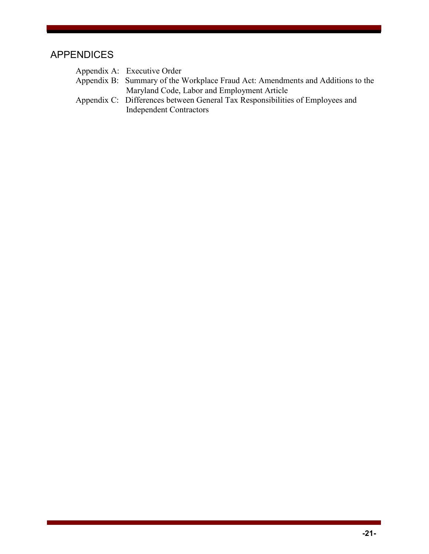# APPENDICES

| Appendix A: Executive Order                                                                                     |
|-----------------------------------------------------------------------------------------------------------------|
| Appendix B: Summary of the Workplace Fraud Act: Amendments and Additions to the                                 |
| Maryland Code, Labor and Employment Article                                                                     |
| Appendix C: Differences between General Tax Responsibilities of Employees and<br><b>Independent Contractors</b> |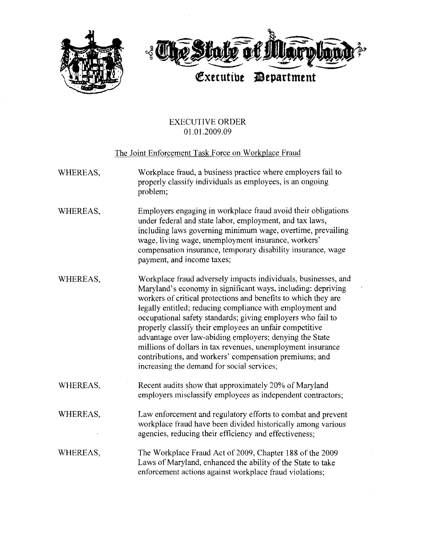

#### **EXECUTIVE ORDER** 01.01.2009.09

#### The Joint Enforcement Task Force on Workplace Fraud

- Workplace fraud, a business practice where employers fail to WHEREAS, properly classify individuals as employees, is an ongoing problem;
- WHEREAS, Employers engaging in workplace fraud avoid their obligations under federal and state labor, employment, and tax laws, including laws governing minimum wage, overtime, prevailing wage, living wage, unemployment insurance, workers' compensation insurance, temporary disability insurance, wage payment, and income taxes;
- Workplace fraud adversely impacts individuals, businesses, and WHEREAS, Maryland's economy in significant ways, including: depriving workers of critical protections and benefits to which they are legally entitled; reducing compliance with employment and occupational safety standards; giving employers who fail to properly classify their employees an unfair competitive advantage over law-abiding employers; denying the State millions of dollars in tax revenues, unemployment insurance contributions, and workers' compensation premiums; and increasing the demand for social services;
- WHEREAS, Recent audits show that approximately 20% of Maryland employers misclassify employees as independent contractors;
- Law enforcement and regulatory efforts to combat and prevent WHEREAS, workplace fraud have been divided historically among various agencies, reducing their efficiency and effectiveness;
- The Workplace Fraud Act of 2009, Chapter 188 of the 2009 WHEREAS, Laws of Maryland, enhanced the ability of the State to take enforcement actions against workplace fraud violations;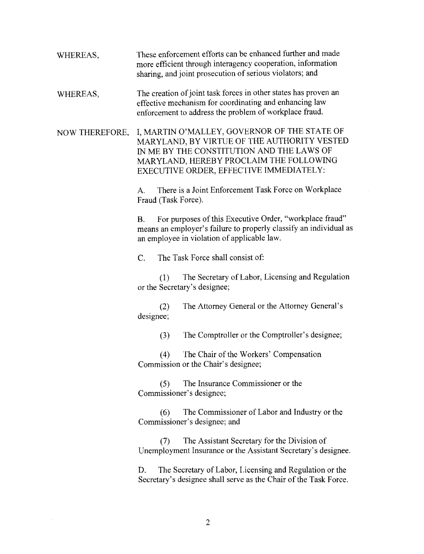- These enforcement efforts can be enhanced further and made WHEREAS, more efficient through interagency cooperation, information sharing, and joint prosecution of serious violators; and
- The creation of joint task forces in other states has proven an WHEREAS, effective mechanism for coordinating and enhancing law enforcement to address the problem of workplace fraud.

I, MARTIN O'MALLEY, GOVERNOR OF THE STATE OF NOW THEREFORE, MARYLAND, BY VIRTUE OF THE AUTHORITY VESTED IN ME BY THE CONSTITUTION AND THE LAWS OF MARYLAND, HEREBY PROCLAIM THE FOLLOWING EXECUTIVE ORDER, EFFECTIVE IMMEDIATELY:

> There is a Joint Enforcement Task Force on Workplace  $\mathbf{A}$ . Fraud (Task Force).

For purposes of this Executive Order, "workplace fraud"  $\mathbf{B}$ . means an employer's failure to properly classify an individual as an employee in violation of applicable law.

 $\overline{C}$ . The Task Force shall consist of:

The Secretary of Labor, Licensing and Regulation  $(1)$ or the Secretary's designee;

The Attorney General or the Attorney General's  $(2)$ designee;

> The Comptroller or the Comptroller's designee;  $(3)$

The Chair of the Workers' Compensation  $(4)$ Commission or the Chair's designee;

The Insurance Commissioner or the  $(5)$ Commissioner's designee;

The Commissioner of Labor and Industry or the  $(6)$ Commissioner's designee; and

The Assistant Secretary for the Division of  $(7)$ Unemployment Insurance or the Assistant Secretary's designee.

The Secretary of Labor, Licensing and Regulation or the D. Secretary's designee shall serve as the Chair of the Task Force.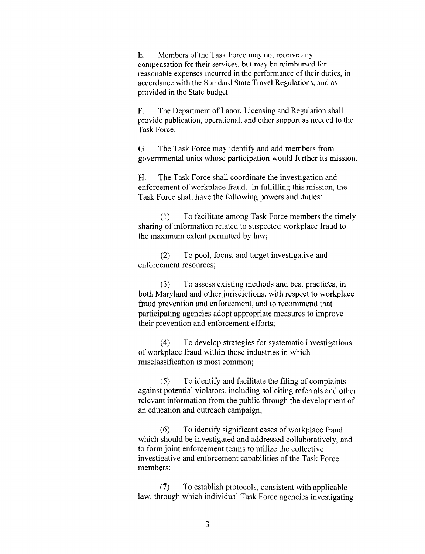$E_{\rm{L}}$ Members of the Task Force may not receive any compensation for their services, but may be reimbursed for reasonable expenses incurred in the performance of their duties, in accordance with the Standard State Travel Regulations, and as provided in the State budget.

 $F.$ The Department of Labor, Licensing and Regulation shall provide publication, operational, and other support as needed to the Task Force.

G. The Task Force may identify and add members from governmental units whose participation would further its mission.

Н. The Task Force shall coordinate the investigation and enforcement of workplace fraud. In fulfilling this mission, the Task Force shall have the following powers and duties:

 $(1)$ To facilitate among Task Force members the timely sharing of information related to suspected workplace fraud to the maximum extent permitted by law;

To pool, focus, and target investigative and  $(2)$ enforcement resources;

 $(3)$ To assess existing methods and best practices, in both Maryland and other jurisdictions, with respect to workplace fraud prevention and enforcement, and to recommend that participating agencies adopt appropriate measures to improve their prevention and enforcement efforts;

To develop strategies for systematic investigations  $(4)$ of workplace fraud within those industries in which misclassification is most common;

To identify and facilitate the filing of complaints  $(5)$ against potential violators, including soliciting referrals and other relevant information from the public through the development of an education and outreach campaign;

To identify significant cases of workplace fraud  $(6)$ which should be investigated and addressed collaboratively, and to form joint enforcement teams to utilize the collective investigative and enforcement capabilities of the Task Force members;

To establish protocols, consistent with applicable  $(7)$ law, through which individual Task Force agencies investigating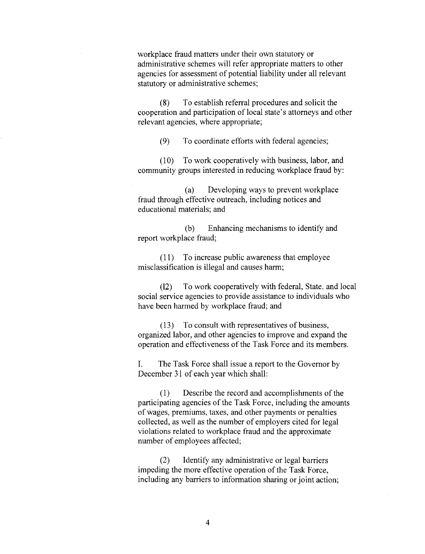workplace fraud matters under their own statutory or administrative schemes will refer appropriate matters to other agencies for assessment of potential liability under all relevant statutory or administrative schemes;

To establish referral procedures and solicit the  $(8)$ cooperation and participation of local state's attorneys and other relevant agencies, where appropriate;

To coordinate efforts with federal agencies;  $(9)$ 

 $(10)$ To work cooperatively with business, labor, and community groups interested in reducing workplace fraud by:

Developing ways to prevent workplace  $(a)$ fraud through effective outreach, including notices and educational materials; and

Enhancing mechanisms to identify and (b) report workplace fraud;

(11) To increase public awareness that employee misclassification is illegal and causes harm;

To work cooperatively with federal, State, and local  $(12)$ social service agencies to provide assistance to individuals who have been harmed by workplace fraud; and

(13) To consult with representatives of business, organized labor, and other agencies to improve and expand the operation and effectiveness of the Task Force and its members.

L. The Task Force shall issue a report to the Governor by December 31 of each year which shall:

 $(1)$ Describe the record and accomplishments of the participating agencies of the Task Force, including the amounts of wages, premiums, taxes, and other payments or penalties collected, as well as the number of employers cited for legal violations related to workplace fraud and the approximate number of employees affected;

 $(2)$ Identify any administrative or legal barriers impeding the more effective operation of the Task Force, including any barriers to information sharing or joint action;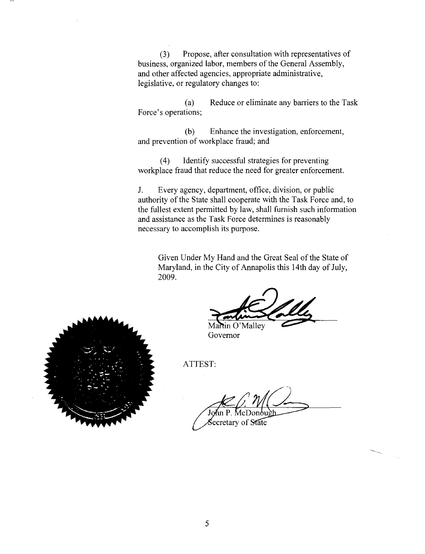$(3)$ Propose, after consultation with representatives of business, organized labor, members of the General Assembly, and other affected agencies, appropriate administrative, legislative, or regulatory changes to:

Reduce or eliminate any barriers to the Task  $(a)$ Force's operations;

Enhance the investigation, enforcement,  $(b)$ and prevention of workplace fraud; and

Identify successful strategies for preventing  $(4)$ workplace fraud that reduce the need for greater enforcement.

 $J_{-}$ Every agency, department, office, division, or public authority of the State shall cooperate with the Task Force and, to the fullest extent permitted by law, shall furnish such information and assistance as the Task Force determines is reasonably necessary to accomplish its purpose.

Given Under My Hand and the Great Seal of the State of Maryland, in the City of Annapolis this 14th day of July, 2009.

Martin O'Malley Governor

ATTEST:

ecretary of State

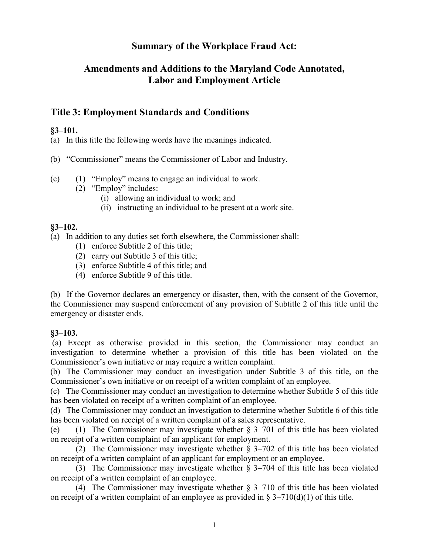# **Summary of the Workplace Fraud Act:**

# **Amendments and Additions to the Maryland Code Annotated, Labor and Employment Article**

# **Title 3: Employment Standards and Conditions**

## **§3–101.**

(a) In this title the following words have the meanings indicated.

(b) "Commissioner" means the Commissioner of Labor and Industry.

- (c) (1) "Employ" means to engage an individual to work.
	- (2) "Employ" includes:
		- (i) allowing an individual to work; and
		- (ii) instructing an individual to be present at a work site.

# **§3–102.**

(a) In addition to any duties set forth elsewhere, the Commissioner shall:

- (1) enforce Subtitle 2 of this title;
- (2) carry out Subtitle 3 of this title;
- (3) enforce Subtitle 4 of this title; and
- (4**)** enforce Subtitle 9 of this title.

(b) If the Governor declares an emergency or disaster, then, with the consent of the Governor, the Commissioner may suspend enforcement of any provision of Subtitle 2 of this title until the emergency or disaster ends.

#### **§3–103.**

(a) Except as otherwise provided in this section, the Commissioner may conduct an investigation to determine whether a provision of this title has been violated on the Commissioner's own initiative or may require a written complaint.

(b) The Commissioner may conduct an investigation under Subtitle 3 of this title, on the Commissioner's own initiative or on receipt of a written complaint of an employee.

(c) The Commissioner may conduct an investigation to determine whether Subtitle 5 of this title has been violated on receipt of a written complaint of an employee.

(d) The Commissioner may conduct an investigation to determine whether Subtitle 6 of this title has been violated on receipt of a written complaint of a sales representative.

(e) (1) The Commissioner may investigate whether § 3–701 of this title has been violated on receipt of a written complaint of an applicant for employment.

(2) The Commissioner may investigate whether § 3–702 of this title has been violated on receipt of a written complaint of an applicant for employment or an employee.

(3) The Commissioner may investigate whether § 3–704 of this title has been violated on receipt of a written complaint of an employee.

(4) The Commissioner may investigate whether § 3–710 of this title has been violated on receipt of a written complaint of an employee as provided in  $\S 3-710(d)(1)$  of this title.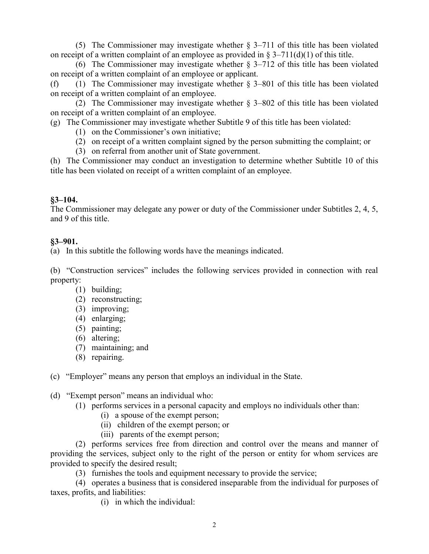(5) The Commissioner may investigate whether § 3–711 of this title has been violated on receipt of a written complaint of an employee as provided in  $\S 3-711(d)(1)$  of this title.

(6) The Commissioner may investigate whether  $\S 3-712$  of this title has been violated on receipt of a written complaint of an employee or applicant.

(f) (1) The Commissioner may investigate whether § 3–801 of this title has been violated on receipt of a written complaint of an employee.

(2) The Commissioner may investigate whether § 3–802 of this title has been violated on receipt of a written complaint of an employee.

(g) The Commissioner may investigate whether Subtitle 9 of this title has been violated:

- (1) on the Commissioner's own initiative;
- (2) on receipt of a written complaint signed by the person submitting the complaint; or
- (3) on referral from another unit of State government.

(h) The Commissioner may conduct an investigation to determine whether Subtitle 10 of this title has been violated on receipt of a written complaint of an employee.

## **§3–104.**

The Commissioner may delegate any power or duty of the Commissioner under Subtitles 2, 4, 5, and 9 of this title.

#### **§3–901.**

(a) In this subtitle the following words have the meanings indicated.

(b) "Construction services" includes the following services provided in connection with real property:

- (1) building;
- (2) reconstructing;
- (3) improving;
- (4) enlarging;
- (5) painting;
- (6) altering;
- (7) maintaining; and
- (8) repairing.

(c) "Employer" means any person that employs an individual in the State.

- (d) "Exempt person" means an individual who:
	- (1) performs services in a personal capacity and employs no individuals other than:
		- (i) a spouse of the exempt person;
		- (ii) children of the exempt person; or
		- (iii) parents of the exempt person;

(2) performs services free from direction and control over the means and manner of providing the services, subject only to the right of the person or entity for whom services are provided to specify the desired result;

(3) furnishes the tools and equipment necessary to provide the service;

(4) operates a business that is considered inseparable from the individual for purposes of taxes, profits, and liabilities:

(i) in which the individual: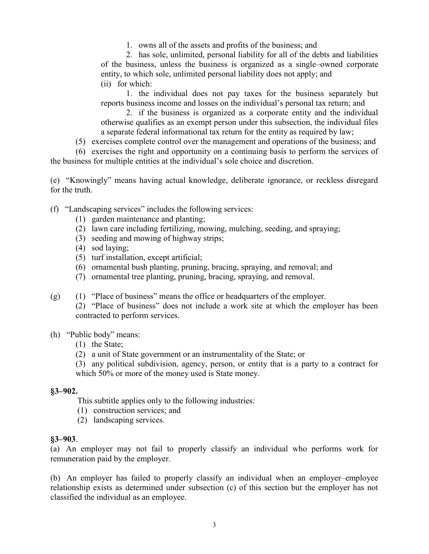1. owns all of the assets and profits of the business; and

2. has sole, unlimited, personal liability for all of the debts and liabilities of the business, unless the business is organized as a single–owned corporate entity, to which sole, unlimited personal liability does not apply; and (ii) for which:

1. the individual does not pay taxes for the business separately but reports business income and losses on the individual's personal tax return; and

2. if the business is organized as a corporate entity and the individual otherwise qualifies as an exempt person under this subsection, the individual files a separate federal informational tax return for the entity as required by law;

(5) exercises complete control over the management and operations of the business; and

(6) exercises the right and opportunity on a continuing basis to perform the services of the business for multiple entities at the individual's sole choice and discretion.

(e) "Knowingly" means having actual knowledge, deliberate ignorance, or reckless disregard for the truth.

(f) "Landscaping services" includes the following services:

- (1) garden maintenance and planting;
- (2) lawn care including fertilizing, mowing, mulching, seeding, and spraying;
- (3) seeding and mowing of highway strips;
- (4) sod laying;
- (5) turf installation, except artificial;
- (6) ornamental bush planting, pruning, bracing, spraying, and removal; and
- (7) ornamental tree planting, pruning, bracing, spraying, and removal.
- (g) (1) "Place of business" means the office or headquarters of the employer.
	- (2) "Place of business" does not include a work site at which the employer has been contracted to perform services.

#### (h) "Public body" means:

- (1) the State;
- (2) a unit of State government or an instrumentality of the State; or

(3) any political subdivision, agency, person, or entity that is a party to a contract for which 50% or more of the money used is State money.

#### **§3–902.**

This subtitle applies only to the following industries:

- (1) construction services; and
- (2) landscaping services.

#### **§3–903**.

(a) An employer may not fail to properly classify an individual who performs work for remuneration paid by the employer.

(b) An employer has failed to properly classify an individual when an employer–employee relationship exists as determined under subsection (c) of this section but the employer has not classified the individual as an employee.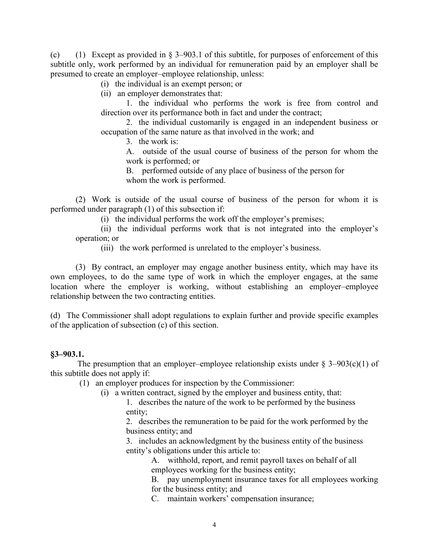(c) (1) Except as provided in § 3–903.1 of this subtitle, for purposes of enforcement of this subtitle only, work performed by an individual for remuneration paid by an employer shall be presumed to create an employer–employee relationship, unless:

(i) the individual is an exempt person; or

(ii) an employer demonstrates that:

1. the individual who performs the work is free from control and direction over its performance both in fact and under the contract;

2. the individual customarily is engaged in an independent business or occupation of the same nature as that involved in the work; and

3. the work is:

A. outside of the usual course of business of the person for whom the work is performed; or

B. performed outside of any place of business of the person for whom the work is performed.

(2) Work is outside of the usual course of business of the person for whom it is performed under paragraph (1) of this subsection if:

(i) the individual performs the work off the employer's premises;

(ii) the individual performs work that is not integrated into the employer's operation; or

(iii) the work performed is unrelated to the employer's business.

(3) By contract, an employer may engage another business entity, which may have its own employees, to do the same type of work in which the employer engages, at the same location where the employer is working, without establishing an employer–employee relationship between the two contracting entities.

(d) The Commissioner shall adopt regulations to explain further and provide specific examples of the application of subsection (c) of this section.

#### **§3–903.1.**

The presumption that an employer–employee relationship exists under  $\S 3-903(c)(1)$  of this subtitle does not apply if:

(1) an employer produces for inspection by the Commissioner:

- (i) a written contract, signed by the employer and business entity, that:
	- 1. describes the nature of the work to be performed by the business entity;

2. describes the remuneration to be paid for the work performed by the business entity; and

3. includes an acknowledgment by the business entity of the business entity's obligations under this article to:

> A. withhold, report, and remit payroll taxes on behalf of all employees working for the business entity;

B. pay unemployment insurance taxes for all employees working for the business entity; and

C. maintain workers' compensation insurance;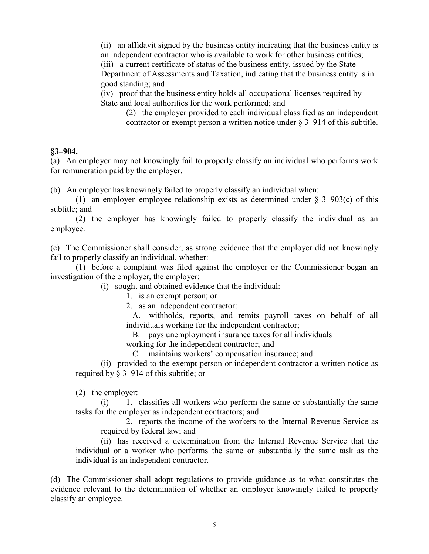(ii) an affidavit signed by the business entity indicating that the business entity is

an independent contractor who is available to work for other business entities; (iii) a current certificate of status of the business entity, issued by the State Department of Assessments and Taxation, indicating that the business entity is in good standing; and

(iv) proof that the business entity holds all occupational licenses required by State and local authorities for the work performed; and

(2) the employer provided to each individual classified as an independent contractor or exempt person a written notice under  $\S 3-914$  of this subtitle.

#### **§3–904.**

(a) An employer may not knowingly fail to properly classify an individual who performs work for remuneration paid by the employer.

(b) An employer has knowingly failed to properly classify an individual when:

(1) an employer–employee relationship exists as determined under § 3–903(c) of this subtitle; and

(2) the employer has knowingly failed to properly classify the individual as an employee.

(c) The Commissioner shall consider, as strong evidence that the employer did not knowingly fail to properly classify an individual, whether:

(1) before a complaint was filed against the employer or the Commissioner began an investigation of the employer, the employer:

(i) sought and obtained evidence that the individual:

1. is an exempt person; or

2. as an independent contractor:

 A. withholds, reports, and remits payroll taxes on behalf of all individuals working for the independent contractor;

B. pays unemployment insurance taxes for all individuals

working for the independent contractor; and

C. maintains workers' compensation insurance; and

(ii) provided to the exempt person or independent contractor a written notice as required by § 3–914 of this subtitle; or

(2) the employer:

(i) 1. classifies all workers who perform the same or substantially the same tasks for the employer as independent contractors; and

2. reports the income of the workers to the Internal Revenue Service as required by federal law; and

(ii) has received a determination from the Internal Revenue Service that the individual or a worker who performs the same or substantially the same task as the individual is an independent contractor.

(d) The Commissioner shall adopt regulations to provide guidance as to what constitutes the evidence relevant to the determination of whether an employer knowingly failed to properly classify an employee.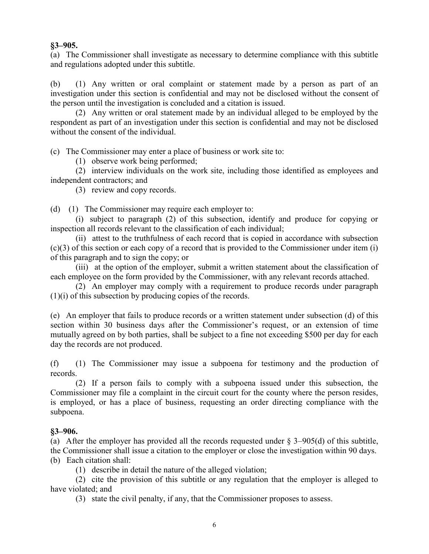#### **§3–905.**

(a) The Commissioner shall investigate as necessary to determine compliance with this subtitle and regulations adopted under this subtitle.

(b) (1) Any written or oral complaint or statement made by a person as part of an investigation under this section is confidential and may not be disclosed without the consent of the person until the investigation is concluded and a citation is issued.

(2) Any written or oral statement made by an individual alleged to be employed by the respondent as part of an investigation under this section is confidential and may not be disclosed without the consent of the individual.

(c) The Commissioner may enter a place of business or work site to:

(1) observe work being performed;

(2) interview individuals on the work site, including those identified as employees and independent contractors; and

(3) review and copy records.

(d) (1) The Commissioner may require each employer to:

 (i) subject to paragraph (2) of this subsection, identify and produce for copying or inspection all records relevant to the classification of each individual;

 (ii) attest to the truthfulness of each record that is copied in accordance with subsection (c)(3) of this section or each copy of a record that is provided to the Commissioner under item (i) of this paragraph and to sign the copy; or

 (iii) at the option of the employer, submit a written statement about the classification of each employee on the form provided by the Commissioner, with any relevant records attached.

 (2) An employer may comply with a requirement to produce records under paragraph (1)(i) of this subsection by producing copies of the records.

(e) An employer that fails to produce records or a written statement under subsection (d) of this section within 30 business days after the Commissioner's request, or an extension of time mutually agreed on by both parties, shall be subject to a fine not exceeding \$500 per day for each day the records are not produced.

(f) (1) The Commissioner may issue a subpoena for testimony and the production of records.

(2) If a person fails to comply with a subpoena issued under this subsection, the Commissioner may file a complaint in the circuit court for the county where the person resides, is employed, or has a place of business, requesting an order directing compliance with the subpoena.

# **§3–906.**

(a) After the employer has provided all the records requested under § 3–905(d) of this subtitle, the Commissioner shall issue a citation to the employer or close the investigation within 90 days. (b) Each citation shall:

(1) describe in detail the nature of the alleged violation;

(2) cite the provision of this subtitle or any regulation that the employer is alleged to have violated; and

(3) state the civil penalty, if any, that the Commissioner proposes to assess.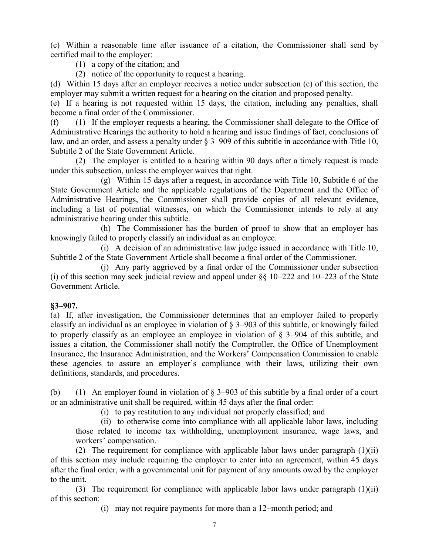(c) Within a reasonable time after issuance of a citation, the Commissioner shall send by certified mail to the employer:

(1) a copy of the citation; and

(2) notice of the opportunity to request a hearing.

(d) Within 15 days after an employer receives a notice under subsection (c) of this section, the employer may submit a written request for a hearing on the citation and proposed penalty.

(e) If a hearing is not requested within 15 days, the citation, including any penalties, shall become a final order of the Commissioner.

(f) (1) If the employer requests a hearing, the Commissioner shall delegate to the Office of Administrative Hearings the authority to hold a hearing and issue findings of fact, conclusions of law, and an order, and assess a penalty under § 3–909 of this subtitle in accordance with Title 10, Subtitle 2 of the State Government Article.

(2) The employer is entitled to a hearing within 90 days after a timely request is made under this subsection, unless the employer waives that right.

(g) Within 15 days after a request, in accordance with Title 10, Subtitle 6 of the State Government Article and the applicable regulations of the Department and the Office of Administrative Hearings, the Commissioner shall provide copies of all relevant evidence, including a list of potential witnesses, on which the Commissioner intends to rely at any administrative hearing under this subtitle.

(h) The Commissioner has the burden of proof to show that an employer has knowingly failed to properly classify an individual as an employee.

(i) A decision of an administrative law judge issued in accordance with Title 10, Subtitle 2 of the State Government Article shall become a final order of the Commissioner.

(j) Any party aggrieved by a final order of the Commissioner under subsection (i) of this section may seek judicial review and appeal under §§ 10–222 and 10–223 of the State Government Article.

#### **§3–907.**

(a) If, after investigation, the Commissioner determines that an employer failed to properly classify an individual as an employee in violation of § 3–903 of this subtitle, or knowingly failed to properly classify as an employee an employee in violation of § 3–904 of this subtitle, and issues a citation, the Commissioner shall notify the Comptroller, the Office of Unemployment Insurance, the Insurance Administration, and the Workers' Compensation Commission to enable these agencies to assure an employer's compliance with their laws, utilizing their own definitions, standards, and procedures.

(b) (1) An employer found in violation of  $\S$  3–903 of this subtitle by a final order of a court or an administrative unit shall be required, within 45 days after the final order:

(i) to pay restitution to any individual not properly classified; and

(ii) to otherwise come into compliance with all applicable labor laws, including those related to income tax withholding, unemployment insurance, wage laws, and workers' compensation.

(2) The requirement for compliance with applicable labor laws under paragraph (1)(ii) of this section may include requiring the employer to enter into an agreement, within 45 days after the final order, with a governmental unit for payment of any amounts owed by the employer to the unit.

(3) The requirement for compliance with applicable labor laws under paragraph (1)(ii) of this section:

(i) may not require payments for more than a 12–month period; and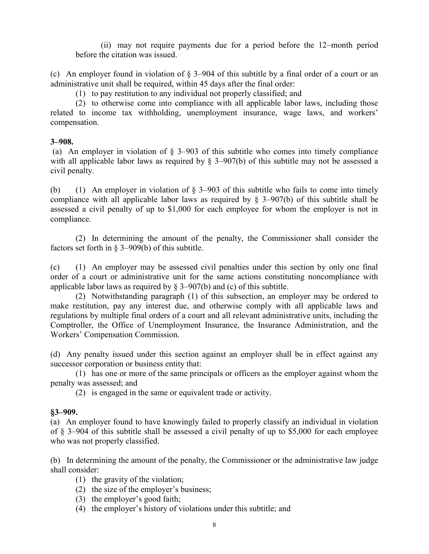(ii) may not require payments due for a period before the 12–month period before the citation was issued.

(c) An employer found in violation of § 3–904 of this subtitle by a final order of a court or an administrative unit shall be required, within 45 days after the final order:

(1) to pay restitution to any individual not properly classified; and

(2) to otherwise come into compliance with all applicable labor laws, including those related to income tax withholding, unemployment insurance, wage laws, and workers' compensation.

#### **3–908.**

(a) An employer in violation of § 3–903 of this subtitle who comes into timely compliance with all applicable labor laws as required by § 3–907(b) of this subtitle may not be assessed a civil penalty.

(b) (1) An employer in violation of § 3–903 of this subtitle who fails to come into timely compliance with all applicable labor laws as required by § 3–907(b) of this subtitle shall be assessed a civil penalty of up to \$1,000 for each employee for whom the employer is not in compliance.

(2) In determining the amount of the penalty, the Commissioner shall consider the factors set forth in § 3–909(b) of this subtitle.

(c) (1) An employer may be assessed civil penalties under this section by only one final order of a court or administrative unit for the same actions constituting noncompliance with applicable labor laws as required by  $\S$  3–907(b) and (c) of this subtitle.

(2) Notwithstanding paragraph (1) of this subsection, an employer may be ordered to make restitution, pay any interest due, and otherwise comply with all applicable laws and regulations by multiple final orders of a court and all relevant administrative units, including the Comptroller, the Office of Unemployment Insurance, the Insurance Administration, and the Workers' Compensation Commission.

(d) Any penalty issued under this section against an employer shall be in effect against any successor corporation or business entity that:

(1) has one or more of the same principals or officers as the employer against whom the penalty was assessed; and

(2) is engaged in the same or equivalent trade or activity.

#### **§3–909.**

(a) An employer found to have knowingly failed to properly classify an individual in violation of § 3–904 of this subtitle shall be assessed a civil penalty of up to \$5,000 for each employee who was not properly classified.

(b) In determining the amount of the penalty, the Commissioner or the administrative law judge shall consider:

- (1) the gravity of the violation;
- (2) the size of the employer's business;
- (3) the employer's good faith;
- (4) the employer's history of violations under this subtitle; and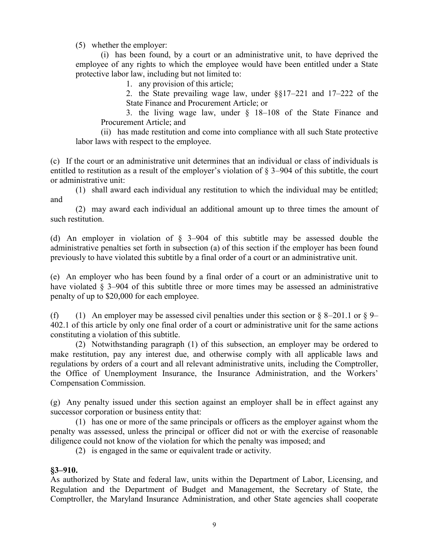(5) whether the employer:

(i) has been found, by a court or an administrative unit, to have deprived the employee of any rights to which the employee would have been entitled under a State protective labor law, including but not limited to:

1. any provision of this article;

2. the State prevailing wage law, under §§17–221 and 17–222 of the State Finance and Procurement Article; or

3. the living wage law, under § 18–108 of the State Finance and Procurement Article; and

(ii) has made restitution and come into compliance with all such State protective labor laws with respect to the employee.

(c) If the court or an administrative unit determines that an individual or class of individuals is entitled to restitution as a result of the employer's violation of § 3–904 of this subtitle, the court or administrative unit:

(1) shall award each individual any restitution to which the individual may be entitled; and

(2) may award each individual an additional amount up to three times the amount of such restitution.

(d) An employer in violation of § 3–904 of this subtitle may be assessed double the administrative penalties set forth in subsection (a) of this section if the employer has been found previously to have violated this subtitle by a final order of a court or an administrative unit.

(e) An employer who has been found by a final order of a court or an administrative unit to have violated § 3–904 of this subtitle three or more times may be assessed an administrative penalty of up to \$20,000 for each employee.

(f) (1) An employer may be assessed civil penalties under this section or  $\S$  8–201.1 or  $\S$  9– 402.1 of this article by only one final order of a court or administrative unit for the same actions constituting a violation of this subtitle.

(2) Notwithstanding paragraph (1) of this subsection, an employer may be ordered to make restitution, pay any interest due, and otherwise comply with all applicable laws and regulations by orders of a court and all relevant administrative units, including the Comptroller, the Office of Unemployment Insurance, the Insurance Administration, and the Workers' Compensation Commission.

(g) Any penalty issued under this section against an employer shall be in effect against any successor corporation or business entity that:

(1) has one or more of the same principals or officers as the employer against whom the penalty was assessed, unless the principal or officer did not or with the exercise of reasonable diligence could not know of the violation for which the penalty was imposed; and

(2) is engaged in the same or equivalent trade or activity.

#### **§3–910.**

As authorized by State and federal law, units within the Department of Labor, Licensing, and Regulation and the Department of Budget and Management, the Secretary of State, the Comptroller, the Maryland Insurance Administration, and other State agencies shall cooperate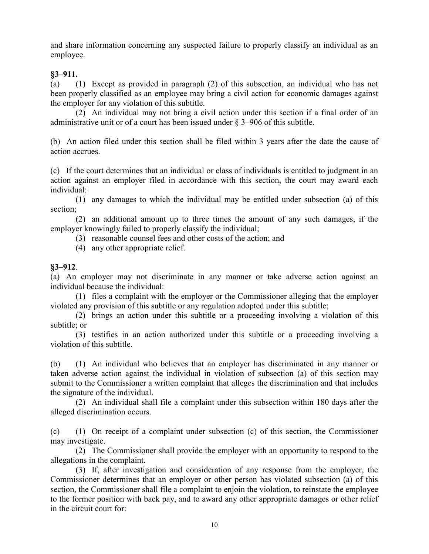and share information concerning any suspected failure to properly classify an individual as an employee.

## **§3–911.**

(a) (1) Except as provided in paragraph (2) of this subsection, an individual who has not been properly classified as an employee may bring a civil action for economic damages against the employer for any violation of this subtitle.

(2) An individual may not bring a civil action under this section if a final order of an administrative unit or of a court has been issued under § 3–906 of this subtitle.

(b) An action filed under this section shall be filed within 3 years after the date the cause of action accrues.

(c) If the court determines that an individual or class of individuals is entitled to judgment in an action against an employer filed in accordance with this section, the court may award each individual:

(1) any damages to which the individual may be entitled under subsection (a) of this section;

(2) an additional amount up to three times the amount of any such damages, if the employer knowingly failed to properly classify the individual;

(3) reasonable counsel fees and other costs of the action; and

(4) any other appropriate relief.

## **§3–912**.

(a) An employer may not discriminate in any manner or take adverse action against an individual because the individual:

(1) files a complaint with the employer or the Commissioner alleging that the employer violated any provision of this subtitle or any regulation adopted under this subtitle;

(2) brings an action under this subtitle or a proceeding involving a violation of this subtitle; or

(3) testifies in an action authorized under this subtitle or a proceeding involving a violation of this subtitle.

(b) (1) An individual who believes that an employer has discriminated in any manner or taken adverse action against the individual in violation of subsection (a) of this section may submit to the Commissioner a written complaint that alleges the discrimination and that includes the signature of the individual.

(2) An individual shall file a complaint under this subsection within 180 days after the alleged discrimination occurs.

(c) (1) On receipt of a complaint under subsection (c) of this section, the Commissioner may investigate.

(2) The Commissioner shall provide the employer with an opportunity to respond to the allegations in the complaint.

(3) If, after investigation and consideration of any response from the employer, the Commissioner determines that an employer or other person has violated subsection (a) of this section, the Commissioner shall file a complaint to enjoin the violation, to reinstate the employee to the former position with back pay, and to award any other appropriate damages or other relief in the circuit court for: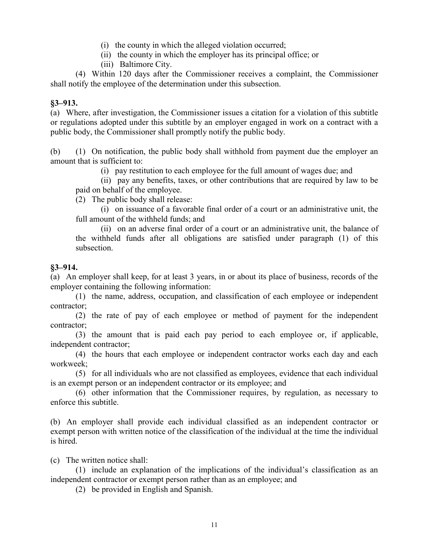- (i) the county in which the alleged violation occurred;
- (ii) the county in which the employer has its principal office; or
- (iii) Baltimore City.

(4) Within 120 days after the Commissioner receives a complaint, the Commissioner shall notify the employee of the determination under this subsection.

#### **§3–913.**

(a) Where, after investigation, the Commissioner issues a citation for a violation of this subtitle or regulations adopted under this subtitle by an employer engaged in work on a contract with a public body, the Commissioner shall promptly notify the public body.

(b) (1) On notification, the public body shall withhold from payment due the employer an amount that is sufficient to:

(i) pay restitution to each employee for the full amount of wages due; and

(ii) pay any benefits, taxes, or other contributions that are required by law to be paid on behalf of the employee.

(2) The public body shall release:

(i) on issuance of a favorable final order of a court or an administrative unit, the full amount of the withheld funds; and

(ii) on an adverse final order of a court or an administrative unit, the balance of the withheld funds after all obligations are satisfied under paragraph (1) of this subsection.

#### **§3–914.**

(a) An employer shall keep, for at least 3 years, in or about its place of business, records of the employer containing the following information:

(1) the name, address, occupation, and classification of each employee or independent contractor;

(2) the rate of pay of each employee or method of payment for the independent contractor;

(3) the amount that is paid each pay period to each employee or, if applicable, independent contractor;

(4) the hours that each employee or independent contractor works each day and each workweek;

(5) for all individuals who are not classified as employees, evidence that each individual is an exempt person or an independent contractor or its employee; and

(6) other information that the Commissioner requires, by regulation, as necessary to enforce this subtitle.

(b) An employer shall provide each individual classified as an independent contractor or exempt person with written notice of the classification of the individual at the time the individual is hired.

(c) The written notice shall:

(1) include an explanation of the implications of the individual's classification as an independent contractor or exempt person rather than as an employee; and

(2) be provided in English and Spanish.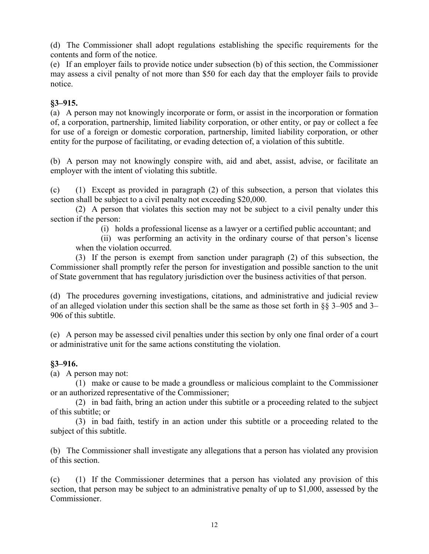(d) The Commissioner shall adopt regulations establishing the specific requirements for the contents and form of the notice.

(e) If an employer fails to provide notice under subsection (b) of this section, the Commissioner may assess a civil penalty of not more than \$50 for each day that the employer fails to provide notice.

#### **§3–915.**

(a) A person may not knowingly incorporate or form, or assist in the incorporation or formation of, a corporation, partnership, limited liability corporation, or other entity, or pay or collect a fee for use of a foreign or domestic corporation, partnership, limited liability corporation, or other entity for the purpose of facilitating, or evading detection of, a violation of this subtitle.

(b) A person may not knowingly conspire with, aid and abet, assist, advise, or facilitate an employer with the intent of violating this subtitle.

(c) (1) Except as provided in paragraph (2) of this subsection, a person that violates this section shall be subject to a civil penalty not exceeding \$20,000.

(2) A person that violates this section may not be subject to a civil penalty under this section if the person:

(i) holds a professional license as a lawyer or a certified public accountant; and

(ii) was performing an activity in the ordinary course of that person's license when the violation occurred.

(3) If the person is exempt from sanction under paragraph (2) of this subsection, the Commissioner shall promptly refer the person for investigation and possible sanction to the unit of State government that has regulatory jurisdiction over the business activities of that person.

(d) The procedures governing investigations, citations, and administrative and judicial review of an alleged violation under this section shall be the same as those set forth in §§ 3–905 and 3– 906 of this subtitle.

(e) A person may be assessed civil penalties under this section by only one final order of a court or administrative unit for the same actions constituting the violation.

# **§3–916.**

(a) A person may not:

(1) make or cause to be made a groundless or malicious complaint to the Commissioner or an authorized representative of the Commissioner;

(2) in bad faith, bring an action under this subtitle or a proceeding related to the subject of this subtitle; or

(3) in bad faith, testify in an action under this subtitle or a proceeding related to the subject of this subtitle.

(b) The Commissioner shall investigate any allegations that a person has violated any provision of this section.

(c) (1) If the Commissioner determines that a person has violated any provision of this section, that person may be subject to an administrative penalty of up to \$1,000, assessed by the **Commissioner**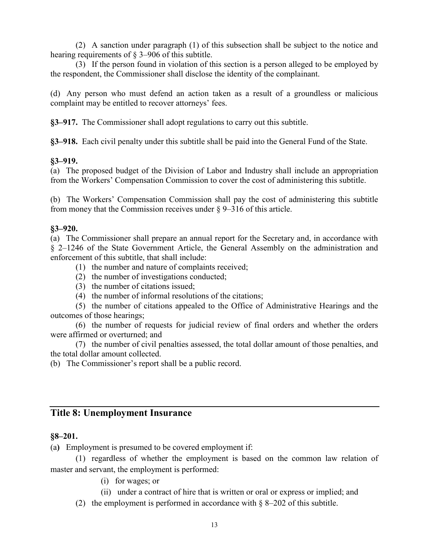(2) A sanction under paragraph (1) of this subsection shall be subject to the notice and hearing requirements of § 3–906 of this subtitle.

(3) If the person found in violation of this section is a person alleged to be employed by the respondent, the Commissioner shall disclose the identity of the complainant.

(d) Any person who must defend an action taken as a result of a groundless or malicious complaint may be entitled to recover attorneys' fees.

**§3–917.** The Commissioner shall adopt regulations to carry out this subtitle.

**§3–918.** Each civil penalty under this subtitle shall be paid into the General Fund of the State.

#### **§3–919.**

(a) The proposed budget of the Division of Labor and Industry shall include an appropriation from the Workers' Compensation Commission to cover the cost of administering this subtitle.

(b) The Workers' Compensation Commission shall pay the cost of administering this subtitle from money that the Commission receives under § 9–316 of this article.

## **§3–920.**

(a) The Commissioner shall prepare an annual report for the Secretary and, in accordance with § 2–1246 of the State Government Article, the General Assembly on the administration and enforcement of this subtitle, that shall include:

- (1) the number and nature of complaints received;
- (2) the number of investigations conducted;
- (3) the number of citations issued;
- (4) the number of informal resolutions of the citations;

(5) the number of citations appealed to the Office of Administrative Hearings and the outcomes of those hearings;

(6) the number of requests for judicial review of final orders and whether the orders were affirmed or overturned; and

(7) the number of civil penalties assessed, the total dollar amount of those penalties, and the total dollar amount collected.

(b) The Commissioner's report shall be a public record.

# **Title 8: Unemployment Insurance**

# **§8–201.**

(a**)** Employment is presumed to be covered employment if:

(1) regardless of whether the employment is based on the common law relation of master and servant, the employment is performed:

- (i) for wages; or
- (ii) under a contract of hire that is written or oral or express or implied; and
- (2) the employment is performed in accordance with  $\delta$  8–202 of this subtitle.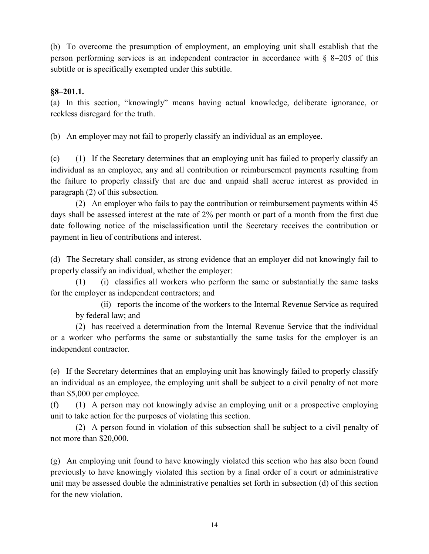(b) To overcome the presumption of employment, an employing unit shall establish that the person performing services is an independent contractor in accordance with § 8–205 of this subtitle or is specifically exempted under this subtitle.

## **§8–201.1.**

(a) In this section, "knowingly" means having actual knowledge, deliberate ignorance, or reckless disregard for the truth.

(b) An employer may not fail to properly classify an individual as an employee.

(c) (1) If the Secretary determines that an employing unit has failed to properly classify an individual as an employee, any and all contribution or reimbursement payments resulting from the failure to properly classify that are due and unpaid shall accrue interest as provided in paragraph (2) of this subsection.

(2) An employer who fails to pay the contribution or reimbursement payments within 45 days shall be assessed interest at the rate of 2% per month or part of a month from the first due date following notice of the misclassification until the Secretary receives the contribution or payment in lieu of contributions and interest.

(d) The Secretary shall consider, as strong evidence that an employer did not knowingly fail to properly classify an individual, whether the employer:

(1) (i) classifies all workers who perform the same or substantially the same tasks for the employer as independent contractors; and

(ii) reports the income of the workers to the Internal Revenue Service as required by federal law; and

(2) has received a determination from the Internal Revenue Service that the individual or a worker who performs the same or substantially the same tasks for the employer is an independent contractor.

(e) If the Secretary determines that an employing unit has knowingly failed to properly classify an individual as an employee, the employing unit shall be subject to a civil penalty of not more than \$5,000 per employee.

(f) (1) A person may not knowingly advise an employing unit or a prospective employing unit to take action for the purposes of violating this section.

(2) A person found in violation of this subsection shall be subject to a civil penalty of not more than \$20,000.

(g) An employing unit found to have knowingly violated this section who has also been found previously to have knowingly violated this section by a final order of a court or administrative unit may be assessed double the administrative penalties set forth in subsection (d) of this section for the new violation.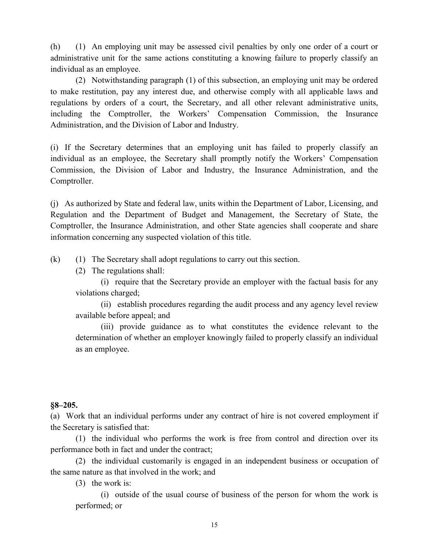(h) (1) An employing unit may be assessed civil penalties by only one order of a court or administrative unit for the same actions constituting a knowing failure to properly classify an individual as an employee.

(2) Notwithstanding paragraph (1) of this subsection, an employing unit may be ordered to make restitution, pay any interest due, and otherwise comply with all applicable laws and regulations by orders of a court, the Secretary, and all other relevant administrative units, including the Comptroller, the Workers' Compensation Commission, the Insurance Administration, and the Division of Labor and Industry.

(i) If the Secretary determines that an employing unit has failed to properly classify an individual as an employee, the Secretary shall promptly notify the Workers' Compensation Commission, the Division of Labor and Industry, the Insurance Administration, and the Comptroller.

(j) As authorized by State and federal law, units within the Department of Labor, Licensing, and Regulation and the Department of Budget and Management, the Secretary of State, the Comptroller, the Insurance Administration, and other State agencies shall cooperate and share information concerning any suspected violation of this title.

(k) (1) The Secretary shall adopt regulations to carry out this section.

(2) The regulations shall:

(i) require that the Secretary provide an employer with the factual basis for any violations charged;

(ii) establish procedures regarding the audit process and any agency level review available before appeal; and

(iii) provide guidance as to what constitutes the evidence relevant to the determination of whether an employer knowingly failed to properly classify an individual as an employee.

#### **§8–205.**

(a) Work that an individual performs under any contract of hire is not covered employment if the Secretary is satisfied that:

(1) the individual who performs the work is free from control and direction over its performance both in fact and under the contract;

(2) the individual customarily is engaged in an independent business or occupation of the same nature as that involved in the work; and

(3) the work is:

(i) outside of the usual course of business of the person for whom the work is performed; or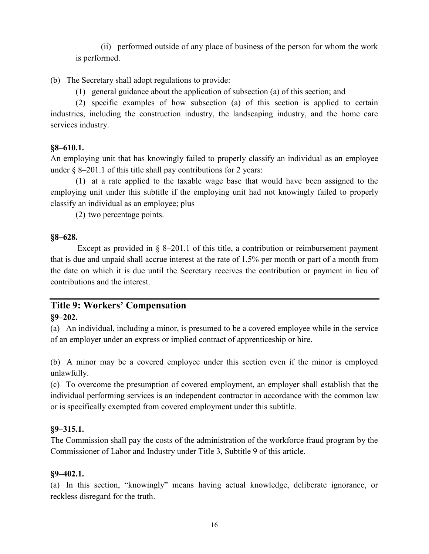(ii) performed outside of any place of business of the person for whom the work is performed.

## (b) The Secretary shall adopt regulations to provide:

(1) general guidance about the application of subsection (a) of this section; and

(2) specific examples of how subsection (a) of this section is applied to certain industries, including the construction industry, the landscaping industry, and the home care services industry.

#### **§8–610.1.**

An employing unit that has knowingly failed to properly classify an individual as an employee under  $\S$  8–201.1 of this title shall pay contributions for 2 years:

(1) at a rate applied to the taxable wage base that would have been assigned to the employing unit under this subtitle if the employing unit had not knowingly failed to properly classify an individual as an employee; plus

(2) two percentage points.

#### **§8–628.**

Except as provided in  $\S$  8–201.1 of this title, a contribution or reimbursement payment that is due and unpaid shall accrue interest at the rate of 1.5% per month or part of a month from the date on which it is due until the Secretary receives the contribution or payment in lieu of contributions and the interest.

# **Title 9: Workers' Compensation**

## **§9–202.**

(a) An individual, including a minor, is presumed to be a covered employee while in the service of an employer under an express or implied contract of apprenticeship or hire.

(b) A minor may be a covered employee under this section even if the minor is employed unlawfully.

(c) To overcome the presumption of covered employment, an employer shall establish that the individual performing services is an independent contractor in accordance with the common law or is specifically exempted from covered employment under this subtitle.

#### **§9–315.1.**

The Commission shall pay the costs of the administration of the workforce fraud program by the Commissioner of Labor and Industry under Title 3, Subtitle 9 of this article.

#### **§9–402.1.**

(a) In this section, "knowingly" means having actual knowledge, deliberate ignorance, or reckless disregard for the truth.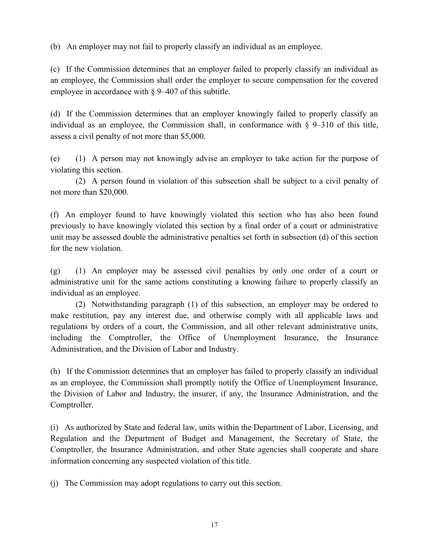(b) An employer may not fail to properly classify an individual as an employee.

(c) If the Commission determines that an employer failed to properly classify an individual as an employee, the Commission shall order the employer to secure compensation for the covered employee in accordance with § 9–407 of this subtitle.

(d) If the Commission determines that an employer knowingly failed to properly classify an individual as an employee, the Commission shall, in conformance with  $\S$  9–310 of this title, assess a civil penalty of not more than \$5,000.

(e) (1) A person may not knowingly advise an employer to take action for the purpose of violating this section.

(2) A person found in violation of this subsection shall be subject to a civil penalty of not more than \$20,000.

(f) An employer found to have knowingly violated this section who has also been found previously to have knowingly violated this section by a final order of a court or administrative unit may be assessed double the administrative penalties set forth in subsection (d) of this section for the new violation.

(g) (1) An employer may be assessed civil penalties by only one order of a court or administrative unit for the same actions constituting a knowing failure to properly classify an individual as an employee.

(2) Notwithstanding paragraph (1) of this subsection, an employer may be ordered to make restitution, pay any interest due, and otherwise comply with all applicable laws and regulations by orders of a court, the Commission, and all other relevant administrative units, including the Comptroller, the Office of Unemployment Insurance, the Insurance Administration, and the Division of Labor and Industry.

(h) If the Commission determines that an employer has failed to properly classify an individual as an employee, the Commission shall promptly notify the Office of Unemployment Insurance, the Division of Labor and Industry, the insurer, if any, the Insurance Administration, and the Comptroller.

(i) As authorized by State and federal law, units within the Department of Labor, Licensing, and Regulation and the Department of Budget and Management, the Secretary of State, the Comptroller, the Insurance Administration, and other State agencies shall cooperate and share information concerning any suspected violation of this title.

(j) The Commission may adopt regulations to carry out this section.